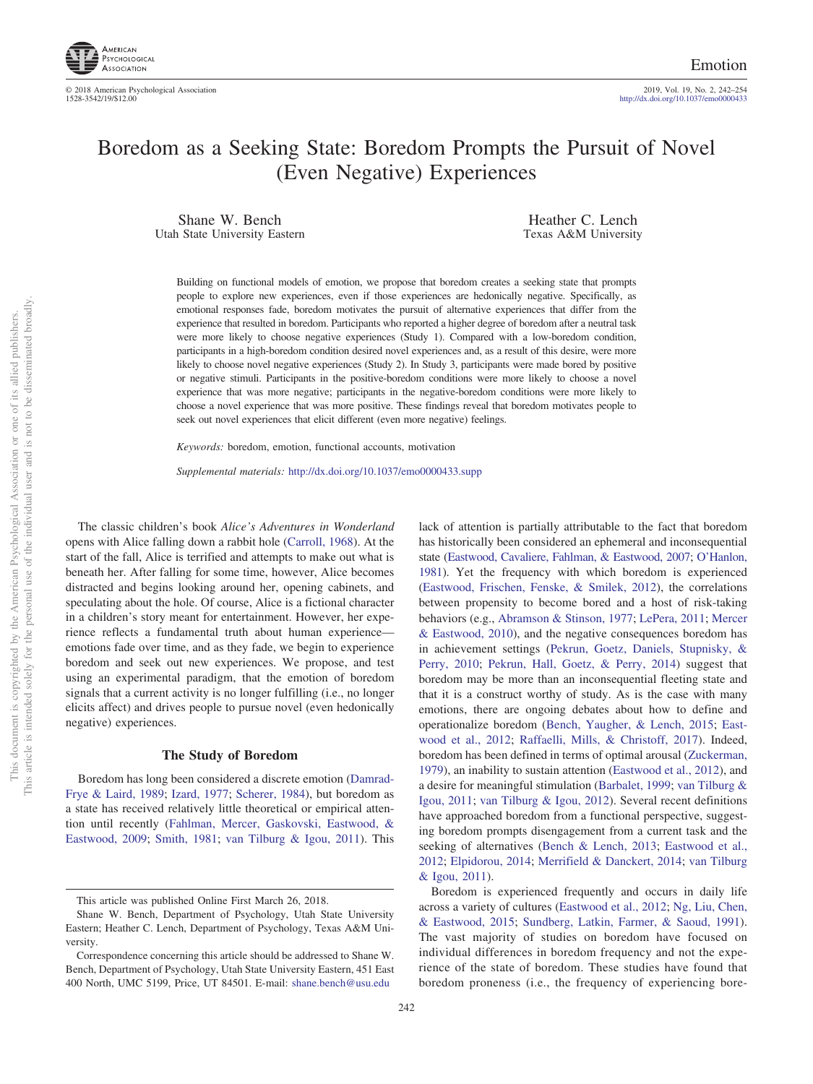

© 2018 American Psychological Association 2019, Vol. 19, No. 2, 242–254 1528-3542/19/\$12.00 http://dx.doi.org[/10.1037/emo0000433](http://dx.doi.org/10.1037/emo0000433)

# Boredom as a Seeking State: Boredom Prompts the Pursuit of Novel (Even Negative) Experiences

Shane W. Bench Utah State University Eastern

Heather C. Lench Texas A&M University

Building on functional models of emotion, we propose that boredom creates a seeking state that prompts people to explore new experiences, even if those experiences are hedonically negative. Specifically, as emotional responses fade, boredom motivates the pursuit of alternative experiences that differ from the experience that resulted in boredom. Participants who reported a higher degree of boredom after a neutral task were more likely to choose negative experiences (Study 1). Compared with a low-boredom condition, participants in a high-boredom condition desired novel experiences and, as a result of this desire, were more likely to choose novel negative experiences (Study 2). In Study 3, participants were made bored by positive or negative stimuli. Participants in the positive-boredom conditions were more likely to choose a novel experience that was more negative; participants in the negative-boredom conditions were more likely to choose a novel experience that was more positive. These findings reveal that boredom motivates people to seek out novel experiences that elicit different (even more negative) feelings.

*Keywords:* boredom, emotion, functional accounts, motivation

*Supplemental materials:* http://dx.doi.org/10.1037/emo0000433.supp

The classic children's book *Alice's Adventures in Wonderland* opens with Alice falling down a rabbit hole [\(Carroll, 1968\)](#page-10-0). At the start of the fall, Alice is terrified and attempts to make out what is beneath her. After falling for some time, however, Alice becomes distracted and begins looking around her, opening cabinets, and speculating about the hole. Of course, Alice is a fictional character in a children's story meant for entertainment. However, her experience reflects a fundamental truth about human experience emotions fade over time, and as they fade, we begin to experience boredom and seek out new experiences. We propose, and test using an experimental paradigm, that the emotion of boredom signals that a current activity is no longer fulfilling (i.e., no longer elicits affect) and drives people to pursue novel (even hedonically negative) experiences.

#### **The Study of Boredom**

Boredom has long been considered a discrete emotion [\(Damrad-](#page-10-1)[Frye & Laird, 1989;](#page-10-1) [Izard, 1977;](#page-10-2) [Scherer, 1984\)](#page-12-0), but boredom as a state has received relatively little theoretical or empirical attention until recently [\(Fahlman, Mercer, Gaskovski, Eastwood, &](#page-10-3) [Eastwood, 2009;](#page-10-3) [Smith, 1981;](#page-12-1) [van Tilburg & Igou, 2011\)](#page-12-2). This

lack of attention is partially attributable to the fact that boredom has historically been considered an ephemeral and inconsequential state [\(Eastwood, Cavaliere, Fahlman, & Eastwood, 2007;](#page-10-4) [O'Hanlon,](#page-11-0) [1981\)](#page-11-0). Yet the frequency with which boredom is experienced [\(Eastwood, Frischen, Fenske, & Smilek, 2012\)](#page-10-5), the correlations between propensity to become bored and a host of risk-taking behaviors (e.g., [Abramson & Stinson, 1977;](#page-10-6) [LePera, 2011;](#page-11-1) [Mercer](#page-11-2) [& Eastwood, 2010\)](#page-11-2), and the negative consequences boredom has in achievement settings [\(Pekrun, Goetz, Daniels, Stupnisky, &](#page-12-3) [Perry, 2010;](#page-12-3) [Pekrun, Hall, Goetz, & Perry, 2014\)](#page-12-4) suggest that boredom may be more than an inconsequential fleeting state and that it is a construct worthy of study. As is the case with many emotions, there are ongoing debates about how to define and operationalize boredom [\(Bench, Yaugher, & Lench, 2015;](#page-10-7) [East](#page-10-5)[wood et al., 2012;](#page-10-5) [Raffaelli, Mills, & Christoff, 2017\)](#page-12-5). Indeed, boredom has been defined in terms of optimal arousal [\(Zuckerman,](#page-12-6) [1979\)](#page-12-6), an inability to sustain attention [\(Eastwood et al., 2012\)](#page-10-5), and a desire for meaningful stimulation [\(Barbalet, 1999;](#page-10-8) [van Tilburg &](#page-12-2) [Igou, 2011;](#page-12-2) [van Tilburg & Igou, 2012\)](#page-12-7). Several recent definitions have approached boredom from a functional perspective, suggesting boredom prompts disengagement from a current task and the seeking of alternatives [\(Bench & Lench, 2013;](#page-10-9) [Eastwood et al.,](#page-10-5) [2012;](#page-10-5) [Elpidorou, 2014;](#page-10-10) [Merrifield & Danckert, 2014;](#page-11-3) [van Tilburg](#page-12-2) [& Igou, 2011\)](#page-12-2).

This article was published Online First March 26, 2018.

Shane W. Bench, Department of Psychology, Utah State University Eastern; Heather C. Lench, Department of Psychology, Texas A&M University.

Correspondence concerning this article should be addressed to Shane W. Bench, Department of Psychology, Utah State University Eastern, 451 East 400 North, UMC 5199, Price, UT 84501. E-mail: [shane.bench@usu.edu](mailto:shane.bench@usu.edu)

Boredom is experienced frequently and occurs in daily life across a variety of cultures [\(Eastwood et al., 2012;](#page-10-5) [Ng, Liu, Chen,](#page-11-4) [& Eastwood, 2015;](#page-11-4) [Sundberg, Latkin, Farmer, & Saoud, 1991\)](#page-12-8). The vast majority of studies on boredom have focused on individual differences in boredom frequency and not the experience of the state of boredom. These studies have found that boredom proneness (i.e., the frequency of experiencing bore-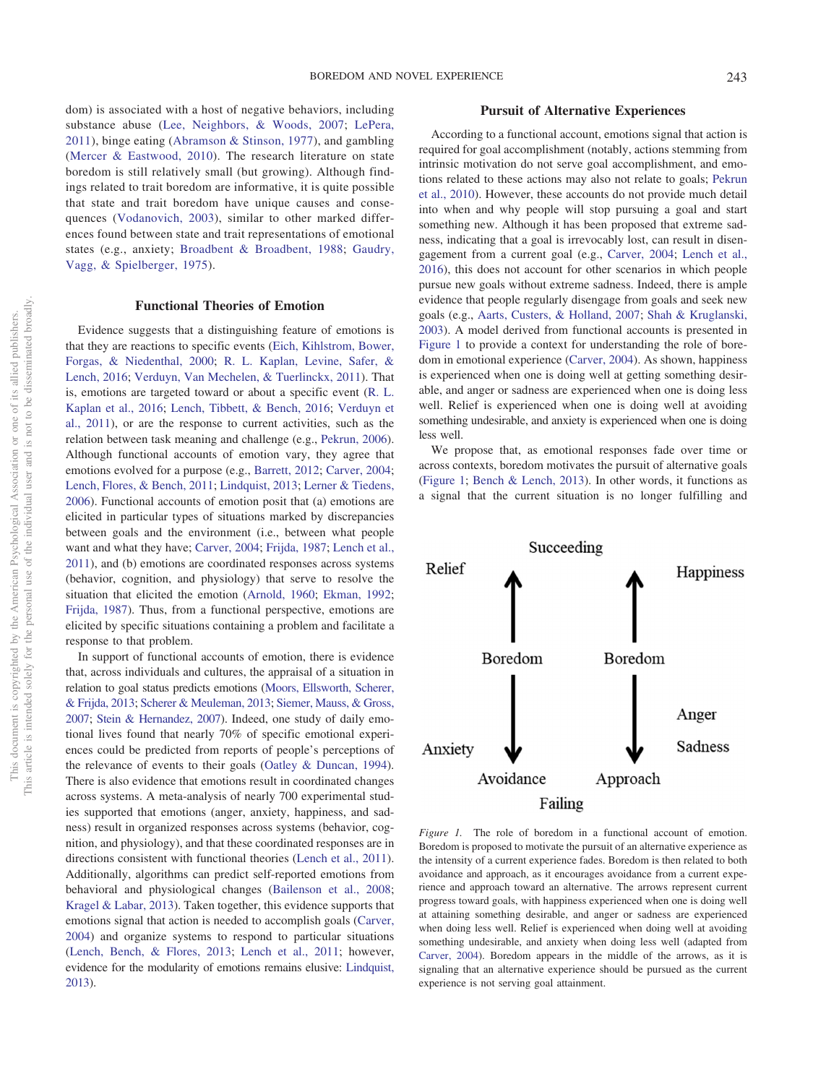dom) is associated with a host of negative behaviors, including substance abuse [\(Lee, Neighbors, & Woods, 2007;](#page-11-5) [LePera,](#page-11-1) [2011\)](#page-11-1), binge eating [\(Abramson & Stinson, 1977\)](#page-10-6), and gambling [\(Mercer & Eastwood, 2010\)](#page-11-2). The research literature on state boredom is still relatively small (but growing). Although findings related to trait boredom are informative, it is quite possible that state and trait boredom have unique causes and consequences [\(Vodanovich, 2003\)](#page-12-9), similar to other marked differences found between state and trait representations of emotional states (e.g., anxiety; [Broadbent & Broadbent, 1988;](#page-10-11) [Gaudry,](#page-10-12) [Vagg, & Spielberger, 1975\)](#page-10-12).

## **Functional Theories of Emotion**

Evidence suggests that a distinguishing feature of emotions is that they are reactions to specific events [\(Eich, Kihlstrom, Bower,](#page-10-13) [Forgas, & Niedenthal, 2000;](#page-10-13) [R. L. Kaplan, Levine, Safer, &](#page-11-6) [Lench, 2016;](#page-11-6) [Verduyn, Van Mechelen, & Tuerlinckx, 2011\)](#page-12-10). That is, emotions are targeted toward or about a specific event [\(R. L.](#page-11-6) [Kaplan et al., 2016;](#page-11-6) [Lench, Tibbett, & Bench, 2016;](#page-11-7) [Verduyn et](#page-12-10) [al., 2011\)](#page-12-10), or are the response to current activities, such as the relation between task meaning and challenge (e.g., [Pekrun, 2006\)](#page-12-11). Although functional accounts of emotion vary, they agree that emotions evolved for a purpose (e.g., [Barrett, 2012;](#page-10-14) [Carver, 2004;](#page-10-15) [Lench, Flores, & Bench, 2011;](#page-11-8) [Lindquist, 2013;](#page-11-9) [Lerner & Tiedens,](#page-11-10) [2006\)](#page-11-10). Functional accounts of emotion posit that (a) emotions are elicited in particular types of situations marked by discrepancies between goals and the environment (i.e., between what people want and what they have; [Carver, 2004;](#page-10-15) [Frijda, 1987;](#page-10-16) [Lench et al.,](#page-11-8) [2011\)](#page-11-8), and (b) emotions are coordinated responses across systems (behavior, cognition, and physiology) that serve to resolve the situation that elicited the emotion [\(Arnold, 1960;](#page-10-17) [Ekman, 1992;](#page-10-18) [Frijda, 1987\)](#page-10-16). Thus, from a functional perspective, emotions are elicited by specific situations containing a problem and facilitate a response to that problem.

In support of functional accounts of emotion, there is evidence that, across individuals and cultures, the appraisal of a situation in relation to goal status predicts emotions [\(Moors, Ellsworth, Scherer,](#page-11-11) [& Frijda, 2013;](#page-11-11) [Scherer & Meuleman, 2013;](#page-12-12) [Siemer, Mauss, & Gross,](#page-12-13) [2007;](#page-12-13) [Stein & Hernandez, 2007\)](#page-12-14). Indeed, one study of daily emotional lives found that nearly 70% of specific emotional experiences could be predicted from reports of people's perceptions of the relevance of events to their goals [\(Oatley & Duncan, 1994\)](#page-11-12). There is also evidence that emotions result in coordinated changes across systems. A meta-analysis of nearly 700 experimental studies supported that emotions (anger, anxiety, happiness, and sadness) result in organized responses across systems (behavior, cognition, and physiology), and that these coordinated responses are in directions consistent with functional theories [\(Lench et al., 2011\)](#page-11-8). Additionally, algorithms can predict self-reported emotions from behavioral and physiological changes [\(Bailenson et al., 2008;](#page-10-19) [Kragel & Labar, 2013\)](#page-11-13). Taken together, this evidence supports that emotions signal that action is needed to accomplish goals [\(Carver,](#page-10-15) [2004\)](#page-10-15) and organize systems to respond to particular situations [\(Lench, Bench, & Flores, 2013;](#page-11-14) [Lench et al., 2011;](#page-11-8) however, evidence for the modularity of emotions remains elusive: [Lindquist,](#page-11-9) [2013\)](#page-11-9).

#### **Pursuit of Alternative Experiences**

According to a functional account, emotions signal that action is required for goal accomplishment (notably, actions stemming from intrinsic motivation do not serve goal accomplishment, and emotions related to these actions may also not relate to goals; [Pekrun](#page-12-3) [et al., 2010\)](#page-12-3). However, these accounts do not provide much detail into when and why people will stop pursuing a goal and start something new. Although it has been proposed that extreme sadness, indicating that a goal is irrevocably lost, can result in disengagement from a current goal (e.g., [Carver, 2004;](#page-10-15) [Lench et al.,](#page-11-7) [2016\)](#page-11-7), this does not account for other scenarios in which people pursue new goals without extreme sadness. Indeed, there is ample evidence that people regularly disengage from goals and seek new goals (e.g., [Aarts, Custers, & Holland, 2007;](#page-9-0) [Shah & Kruglanski,](#page-12-15) [2003\)](#page-12-15). A model derived from functional accounts is presented in [Figure 1](#page-1-0) to provide a context for understanding the role of boredom in emotional experience [\(Carver, 2004\)](#page-10-15). As shown, happiness is experienced when one is doing well at getting something desirable, and anger or sadness are experienced when one is doing less well. Relief is experienced when one is doing well at avoiding something undesirable, and anxiety is experienced when one is doing less well.

We propose that, as emotional responses fade over time or across contexts, boredom motivates the pursuit of alternative goals [\(Figure 1;](#page-1-0) [Bench & Lench, 2013\)](#page-10-9). In other words, it functions as a signal that the current situation is no longer fulfilling and



<span id="page-1-0"></span>*Figure 1.* The role of boredom in a functional account of emotion. Boredom is proposed to motivate the pursuit of an alternative experience as the intensity of a current experience fades. Boredom is then related to both avoidance and approach, as it encourages avoidance from a current experience and approach toward an alternative. The arrows represent current progress toward goals, with happiness experienced when one is doing well at attaining something desirable, and anger or sadness are experienced when doing less well. Relief is experienced when doing well at avoiding something undesirable, and anxiety when doing less well (adapted from [Carver, 2004\)](#page-10-15). Boredom appears in the middle of the arrows, as it is signaling that an alternative experience should be pursued as the current experience is not serving goal attainment.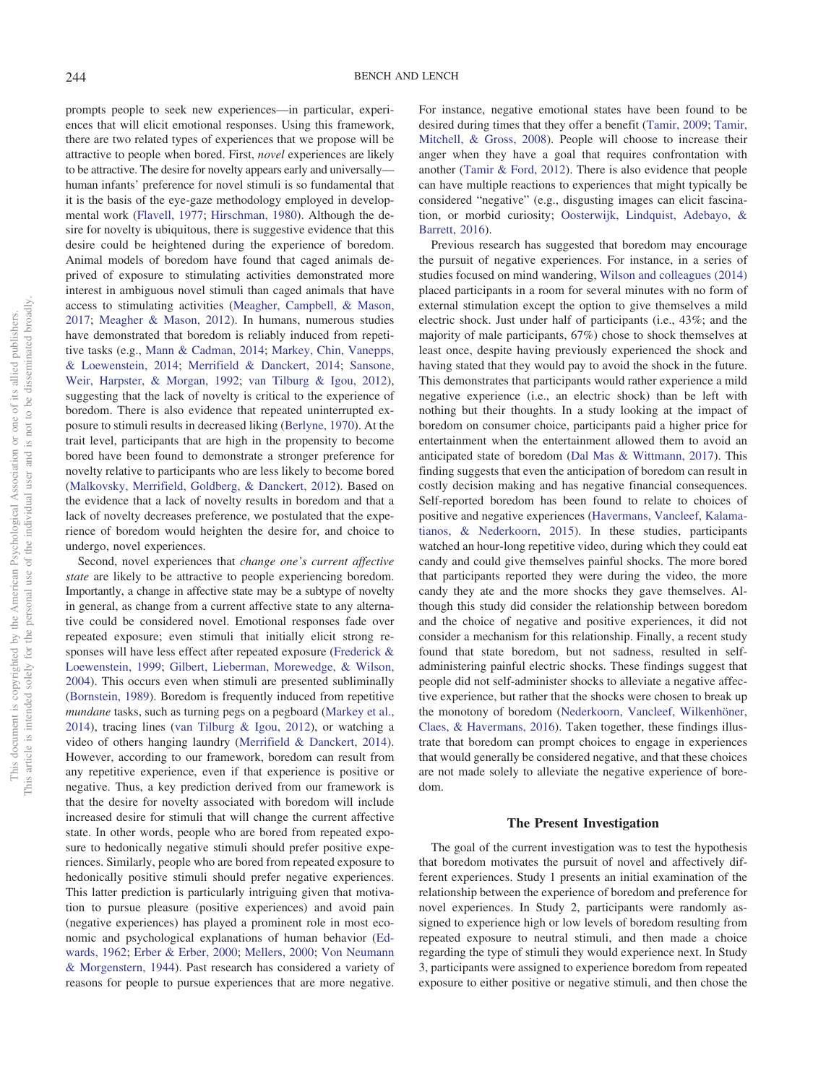prompts people to seek new experiences—in particular, experiences that will elicit emotional responses. Using this framework, there are two related types of experiences that we propose will be attractive to people when bored. First, *novel* experiences are likely to be attractive. The desire for novelty appears early and universally human infants' preference for novel stimuli is so fundamental that it is the basis of the eye-gaze methodology employed in developmental work [\(Flavell, 1977;](#page-10-20) [Hirschman, 1980\)](#page-10-21). Although the desire for novelty is ubiquitous, there is suggestive evidence that this desire could be heightened during the experience of boredom. Animal models of boredom have found that caged animals deprived of exposure to stimulating activities demonstrated more interest in ambiguous novel stimuli than caged animals that have access to stimulating activities [\(Meagher, Campbell, & Mason,](#page-11-15) [2017;](#page-11-15) [Meagher & Mason, 2012\)](#page-11-16). In humans, numerous studies have demonstrated that boredom is reliably induced from repetitive tasks (e.g., [Mann & Cadman, 2014;](#page-11-17) [Markey, Chin, Vanepps,](#page-11-18) [& Loewenstein, 2014;](#page-11-18) [Merrifield & Danckert, 2014;](#page-11-3) [Sansone,](#page-12-16) [Weir, Harpster, & Morgan, 1992;](#page-12-16) [van Tilburg & Igou, 2012\)](#page-12-7), suggesting that the lack of novelty is critical to the experience of boredom. There is also evidence that repeated uninterrupted exposure to stimuli results in decreased liking [\(Berlyne, 1970\)](#page-10-22). At the trait level, participants that are high in the propensity to become bored have been found to demonstrate a stronger preference for novelty relative to participants who are less likely to become bored [\(Malkovsky, Merrifield, Goldberg, & Danckert, 2012\)](#page-11-19). Based on the evidence that a lack of novelty results in boredom and that a lack of novelty decreases preference, we postulated that the experience of boredom would heighten the desire for, and choice to undergo, novel experiences.

Second, novel experiences that *change one's current affective state* are likely to be attractive to people experiencing boredom. Importantly, a change in affective state may be a subtype of novelty in general, as change from a current affective state to any alternative could be considered novel. Emotional responses fade over repeated exposure; even stimuli that initially elicit strong responses will have less effect after repeated exposure [\(Frederick &](#page-10-23) [Loewenstein, 1999;](#page-10-23) [Gilbert, Lieberman, Morewedge, & Wilson,](#page-10-24) [2004\)](#page-10-24). This occurs even when stimuli are presented subliminally [\(Bornstein, 1989\)](#page-10-25). Boredom is frequently induced from repetitive *mundane* tasks, such as turning pegs on a pegboard [\(Markey et al.,](#page-11-18) [2014\)](#page-11-18), tracing lines [\(van Tilburg & Igou, 2012\)](#page-12-7), or watching a video of others hanging laundry [\(Merrifield & Danckert, 2014\)](#page-11-3). However, according to our framework, boredom can result from any repetitive experience, even if that experience is positive or negative. Thus, a key prediction derived from our framework is that the desire for novelty associated with boredom will include increased desire for stimuli that will change the current affective state. In other words, people who are bored from repeated exposure to hedonically negative stimuli should prefer positive experiences. Similarly, people who are bored from repeated exposure to hedonically positive stimuli should prefer negative experiences. This latter prediction is particularly intriguing given that motivation to pursue pleasure (positive experiences) and avoid pain (negative experiences) has played a prominent role in most economic and psychological explanations of human behavior [\(Ed](#page-10-26)[wards, 1962;](#page-10-26) [Erber & Erber, 2000;](#page-10-27) [Mellers, 2000;](#page-11-20) [Von Neumann](#page-12-17) [& Morgenstern, 1944\)](#page-12-17). Past research has considered a variety of reasons for people to pursue experiences that are more negative.

For instance, negative emotional states have been found to be desired during times that they offer a benefit [\(Tamir, 2009;](#page-12-18) [Tamir,](#page-12-19) [Mitchell, & Gross, 2008\)](#page-12-19). People will choose to increase their anger when they have a goal that requires confrontation with another [\(Tamir & Ford, 2012\)](#page-12-20). There is also evidence that people can have multiple reactions to experiences that might typically be considered "negative" (e.g., disgusting images can elicit fascination, or morbid curiosity; [Oosterwijk, Lindquist, Adebayo, &](#page-11-21) [Barrett, 2016\)](#page-11-21).

Previous research has suggested that boredom may encourage the pursuit of negative experiences. For instance, in a series of studies focused on mind wandering, [Wilson and colleagues \(2014\)](#page-12-21) placed participants in a room for several minutes with no form of external stimulation except the option to give themselves a mild electric shock. Just under half of participants (i.e., 43%; and the majority of male participants, 67%) chose to shock themselves at least once, despite having previously experienced the shock and having stated that they would pay to avoid the shock in the future. This demonstrates that participants would rather experience a mild negative experience (i.e., an electric shock) than be left with nothing but their thoughts. In a study looking at the impact of boredom on consumer choice, participants paid a higher price for entertainment when the entertainment allowed them to avoid an anticipated state of boredom [\(Dal Mas & Wittmann, 2017\)](#page-10-28). This finding suggests that even the anticipation of boredom can result in costly decision making and has negative financial consequences. Self-reported boredom has been found to relate to choices of positive and negative experiences [\(Havermans, Vancleef, Kalama](#page-10-29)[tianos, & Nederkoorn, 2015\)](#page-10-29). In these studies, participants watched an hour-long repetitive video, during which they could eat candy and could give themselves painful shocks. The more bored that participants reported they were during the video, the more candy they ate and the more shocks they gave themselves. Although this study did consider the relationship between boredom and the choice of negative and positive experiences, it did not consider a mechanism for this relationship. Finally, a recent study found that state boredom, but not sadness, resulted in selfadministering painful electric shocks. These findings suggest that people did not self-administer shocks to alleviate a negative affective experience, but rather that the shocks were chosen to break up the monotony of boredom [\(Nederkoorn, Vancleef, Wilkenhöner,](#page-11-22) [Claes, & Havermans, 2016\)](#page-11-22). Taken together, these findings illustrate that boredom can prompt choices to engage in experiences that would generally be considered negative, and that these choices are not made solely to alleviate the negative experience of boredom.

#### **The Present Investigation**

The goal of the current investigation was to test the hypothesis that boredom motivates the pursuit of novel and affectively different experiences. Study 1 presents an initial examination of the relationship between the experience of boredom and preference for novel experiences. In Study 2, participants were randomly assigned to experience high or low levels of boredom resulting from repeated exposure to neutral stimuli, and then made a choice regarding the type of stimuli they would experience next. In Study 3, participants were assigned to experience boredom from repeated exposure to either positive or negative stimuli, and then chose the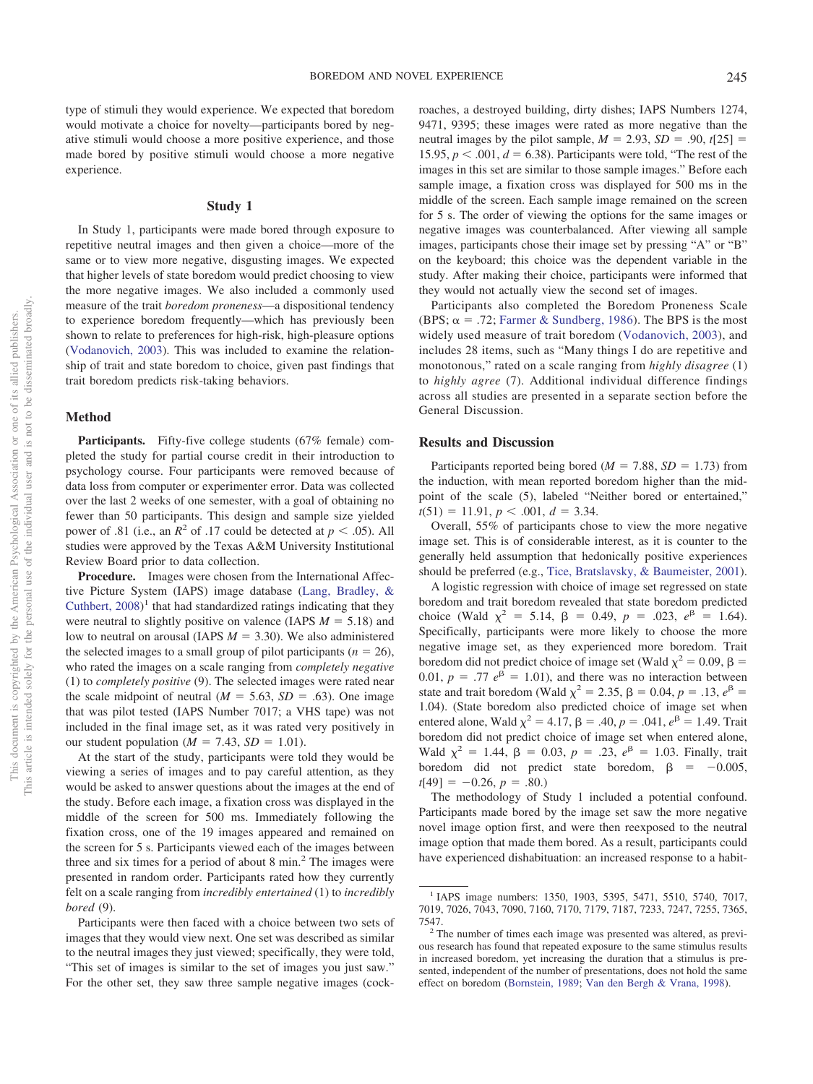type of stimuli they would experience. We expected that boredom would motivate a choice for novelty—participants bored by negative stimuli would choose a more positive experience, and those made bored by positive stimuli would choose a more negative experience.

#### **Study 1**

In Study 1, participants were made bored through exposure to repetitive neutral images and then given a choice—more of the same or to view more negative, disgusting images. We expected that higher levels of state boredom would predict choosing to view the more negative images. We also included a commonly used measure of the trait *boredom proneness*—a dispositional tendency to experience boredom frequently—which has previously been shown to relate to preferences for high-risk, high-pleasure options [\(Vodanovich, 2003\)](#page-12-9). This was included to examine the relationship of trait and state boredom to choice, given past findings that trait boredom predicts risk-taking behaviors.

#### **Method**

Participants. Fifty-five college students (67% female) completed the study for partial course credit in their introduction to psychology course. Four participants were removed because of data loss from computer or experimenter error. Data was collected over the last 2 weeks of one semester, with a goal of obtaining no fewer than 50 participants. This design and sample size yielded power of .81 (i.e., an  $R^2$  of .17 could be detected at  $p < .05$ ). All studies were approved by the Texas A&M University Institutional Review Board prior to data collection.

**Procedure.** Images were chosen from the International Affective Picture System (IAPS) image database [\(Lang, Bradley, &](#page-11-23) [Cuthbert, 2008\)](#page-11-23) <sup>1</sup> that had standardized ratings indicating that they were neutral to slightly positive on valence (IAPS  $M = 5.18$ ) and low to neutral on arousal (IAPS  $M = 3.30$ ). We also administered the selected images to a small group of pilot participants ( $n = 26$ ), who rated the images on a scale ranging from *completely negative* (1) to *completely positive* (9). The selected images were rated near the scale midpoint of neutral  $(M = 5.63, SD = .63)$ . One image that was pilot tested (IAPS Number 7017; a VHS tape) was not included in the final image set, as it was rated very positively in our student population ( $M = 7.43$ ,  $SD = 1.01$ ).

At the start of the study, participants were told they would be viewing a series of images and to pay careful attention, as they would be asked to answer questions about the images at the end of the study. Before each image, a fixation cross was displayed in the middle of the screen for 500 ms. Immediately following the fixation cross, one of the 19 images appeared and remained on the screen for 5 s. Participants viewed each of the images between three and six times for a period of about  $8 \text{ min.}^2$ . The images were presented in random order. Participants rated how they currently felt on a scale ranging from *incredibly entertained* (1) to *incredibly bored* (9).

Participants were then faced with a choice between two sets of images that they would view next. One set was described as similar to the neutral images they just viewed; specifically, they were told, "This set of images is similar to the set of images you just saw." For the other set, they saw three sample negative images (cockroaches, a destroyed building, dirty dishes; IAPS Numbers 1274, 9471, 9395; these images were rated as more negative than the neutral images by the pilot sample,  $M = 2.93$ ,  $SD = .90$ ,  $t[25] =$ 15.95,  $p < .001$ ,  $d = 6.38$ ). Participants were told, "The rest of the images in this set are similar to those sample images." Before each sample image, a fixation cross was displayed for 500 ms in the middle of the screen. Each sample image remained on the screen for 5 s. The order of viewing the options for the same images or negative images was counterbalanced. After viewing all sample images, participants chose their image set by pressing "A" or "B" on the keyboard; this choice was the dependent variable in the study. After making their choice, participants were informed that they would not actually view the second set of images.

Participants also completed the Boredom Proneness Scale (BPS;  $\alpha$  = .72; [Farmer & Sundberg, 1986\)](#page-10-30). The BPS is the most widely used measure of trait boredom [\(Vodanovich, 2003\)](#page-12-9), and includes 28 items, such as "Many things I do are repetitive and monotonous," rated on a scale ranging from *highly disagree* (1) to *highly agree* (7). Additional individual difference findings across all studies are presented in a separate section before the General Discussion.

### **Results and Discussion**

Participants reported being bored ( $M = 7.88$ ,  $SD = 1.73$ ) from the induction, with mean reported boredom higher than the midpoint of the scale (5), labeled "Neither bored or entertained,"  $t(51) = 11.91, p < .001, d = 3.34.$ 

Overall, 55% of participants chose to view the more negative image set. This is of considerable interest, as it is counter to the generally held assumption that hedonically positive experiences should be preferred (e.g., [Tice, Bratslavsky, & Baumeister, 2001\)](#page-12-22).

A logistic regression with choice of image set regressed on state boredom and trait boredom revealed that state boredom predicted choice (Wald  $\chi^2 = 5.14$ ,  $\beta = 0.49$ ,  $p = .023$ ,  $e^{\beta} = 1.64$ ). Specifically, participants were more likely to choose the more negative image set, as they experienced more boredom. Trait boredom did not predict choice of image set (Wald  $\chi^2 = 0.09$ ,  $\beta =$ 0.01,  $p = .77 e^{B} = 1.01$ , and there was no interaction between state and trait boredom (Wald  $\chi^2 = 2.35$ ,  $\beta = 0.04$ ,  $p = .13$ ,  $e^{\beta} =$ 1.04). (State boredom also predicted choice of image set when entered alone, Wald  $\chi^2 = 4.17$ ,  $\beta = .40$ ,  $p = .041$ ,  $e^{\beta} = 1.49$ . Trait boredom did not predict choice of image set when entered alone, Wald  $\chi^2 = 1.44$ ,  $\beta = 0.03$ ,  $p = .23$ ,  $e^{\beta} = 1.03$ . Finally, trait boredom did not predict state boredom,  $\beta = -0.005$ ,  $t[49] = -0.26, p = .80.$ 

The methodology of Study 1 included a potential confound. Participants made bored by the image set saw the more negative novel image option first, and were then reexposed to the neutral image option that made them bored. As a result, participants could have experienced dishabituation: an increased response to a habit-

<sup>&</sup>lt;sup>1</sup> IAPS image numbers: 1350, 1903, 5395, 5471, 5510, 5740, 7017, 7019, 7026, 7043, 7090, 7160, 7170, 7179, 7187, 7233, 7247, 7255, 7365,

<sup>7547.</sup> <sup>2</sup> The number of times each image was presented was altered, as previous research has found that repeated exposure to the same stimulus results in increased boredom, yet increasing the duration that a stimulus is presented, independent of the number of presentations, does not hold the same effect on boredom [\(Bornstein, 1989;](#page-10-25) [Van den Bergh & Vrana, 1998\)](#page-12-23).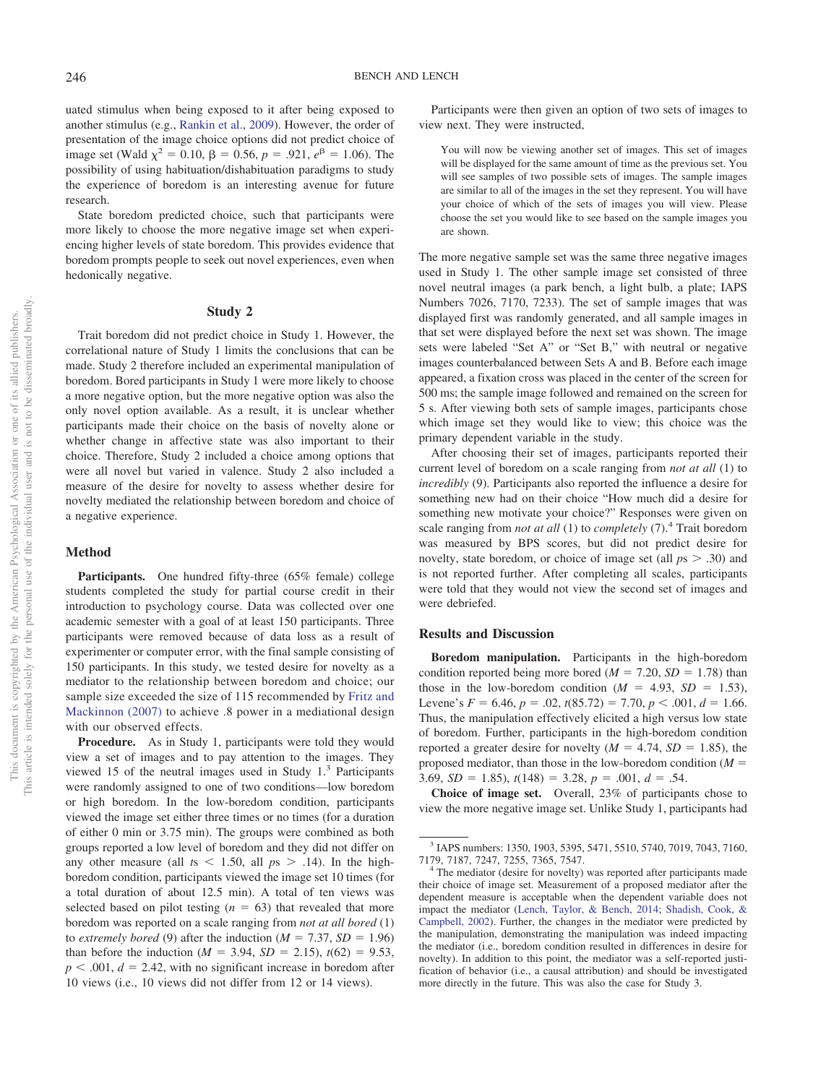uated stimulus when being exposed to it after being exposed to another stimulus (e.g., [Rankin et al., 2009\)](#page-12-24). However, the order of presentation of the image choice options did not predict choice of image set (Wald  $\chi^2 = 0.10$ ,  $\beta = 0.56$ ,  $p = .921$ ,  $e^{\beta} = 1.06$ ). The possibility of using habituation/dishabituation paradigms to study the experience of boredom is an interesting avenue for future research.

State boredom predicted choice, such that participants were more likely to choose the more negative image set when experiencing higher levels of state boredom. This provides evidence that boredom prompts people to seek out novel experiences, even when hedonically negative.

### **Study 2**

Trait boredom did not predict choice in Study 1. However, the correlational nature of Study 1 limits the conclusions that can be made. Study 2 therefore included an experimental manipulation of boredom. Bored participants in Study 1 were more likely to choose a more negative option, but the more negative option was also the only novel option available. As a result, it is unclear whether participants made their choice on the basis of novelty alone or whether change in affective state was also important to their choice. Therefore, Study 2 included a choice among options that were all novel but varied in valence. Study 2 also included a measure of the desire for novelty to assess whether desire for novelty mediated the relationship between boredom and choice of a negative experience.

#### **Method**

Participants. One hundred fifty-three (65% female) college students completed the study for partial course credit in their introduction to psychology course. Data was collected over one academic semester with a goal of at least 150 participants. Three participants were removed because of data loss as a result of experimenter or computer error, with the final sample consisting of 150 participants. In this study, we tested desire for novelty as a mediator to the relationship between boredom and choice; our sample size exceeded the size of 115 recommended by [Fritz and](#page-10-31) [Mackinnon \(2007\)](#page-10-31) to achieve .8 power in a mediational design with our observed effects.

**Procedure.** As in Study 1, participants were told they would view a set of images and to pay attention to the images. They viewed 15 of the neutral images used in Study 1.3 Participants were randomly assigned to one of two conditions—low boredom or high boredom. In the low-boredom condition, participants viewed the image set either three times or no times (for a duration of either 0 min or 3.75 min). The groups were combined as both groups reported a low level of boredom and they did not differ on any other measure (all  $ts < 1.50$ , all  $ps > .14$ ). In the highboredom condition, participants viewed the image set 10 times (for a total duration of about 12.5 min). A total of ten views was selected based on pilot testing  $(n = 63)$  that revealed that more boredom was reported on a scale ranging from *not at all bored* (1) to *extremely bored* (9) after the induction ( $M = 7.37$ ,  $SD = 1.96$ ) than before the induction ( $M = 3.94$ ,  $SD = 2.15$ ),  $t(62) = 9.53$ ,  $p < .001$ ,  $d = 2.42$ , with no significant increase in boredom after 10 views (i.e., 10 views did not differ from 12 or 14 views).

Participants were then given an option of two sets of images to view next. They were instructed,

You will now be viewing another set of images. This set of images will be displayed for the same amount of time as the previous set. You will see samples of two possible sets of images. The sample images are similar to all of the images in the set they represent. You will have your choice of which of the sets of images you will view. Please choose the set you would like to see based on the sample images you are shown.

The more negative sample set was the same three negative images used in Study 1. The other sample image set consisted of three novel neutral images (a park bench, a light bulb, a plate; IAPS Numbers 7026, 7170, 7233). The set of sample images that was displayed first was randomly generated, and all sample images in that set were displayed before the next set was shown. The image sets were labeled "Set A" or "Set B," with neutral or negative images counterbalanced between Sets A and B. Before each image appeared, a fixation cross was placed in the center of the screen for 500 ms; the sample image followed and remained on the screen for 5 s. After viewing both sets of sample images, participants chose which image set they would like to view; this choice was the primary dependent variable in the study.

After choosing their set of images, participants reported their current level of boredom on a scale ranging from *not at all* (1) to *incredibly* (9). Participants also reported the influence a desire for something new had on their choice "How much did a desire for something new motivate your choice?" Responses were given on scale ranging from *not at all* (1) to *completely* (7).4 Trait boredom was measured by BPS scores, but did not predict desire for novelty, state boredom, or choice of image set (all  $ps > .30$ ) and is not reported further. After completing all scales, participants were told that they would not view the second set of images and were debriefed.

## **Results and Discussion**

**Boredom manipulation.** Participants in the high-boredom condition reported being more bored ( $M = 7.20$ ,  $SD = 1.78$ ) than those in the low-boredom condition ( $M = 4.93$ ,  $SD = 1.53$ ), Levene's  $F = 6.46$ ,  $p = .02$ ,  $t(85.72) = 7.70$ ,  $p < .001$ ,  $d = 1.66$ . Thus, the manipulation effectively elicited a high versus low state of boredom. Further, participants in the high-boredom condition reported a greater desire for novelty  $(M = 4.74, SD = 1.85)$ , the proposed mediator, than those in the low-boredom condition (*M* 3.69,  $SD = 1.85$ ,  $t(148) = 3.28$ ,  $p = .001$ ,  $d = .54$ .

**Choice of image set.** Overall, 23% of participants chose to view the more negative image set. Unlike Study 1, participants had

<sup>3</sup> IAPS numbers: 1350, 1903, 5395, 5471, 5510, 5740, 7019, 7043, 7160,

<sup>7179, 7187, 7247, 7255, 7365, 7547.</sup> <sup>4</sup> The mediator (desire for novelty) was reported after participants made their choice of image set. Measurement of a proposed mediator after the dependent measure is acceptable when the dependent variable does not impact the mediator [\(Lench, Taylor, & Bench, 2014;](#page-11-24) [Shadish, Cook, &](#page-12-25) [Campbell, 2002\)](#page-12-25). Further, the changes in the mediator were predicted by the manipulation, demonstrating the manipulation was indeed impacting the mediator (i.e., boredom condition resulted in differences in desire for novelty). In addition to this point, the mediator was a self-reported justification of behavior (i.e., a causal attribution) and should be investigated more directly in the future. This was also the case for Study 3.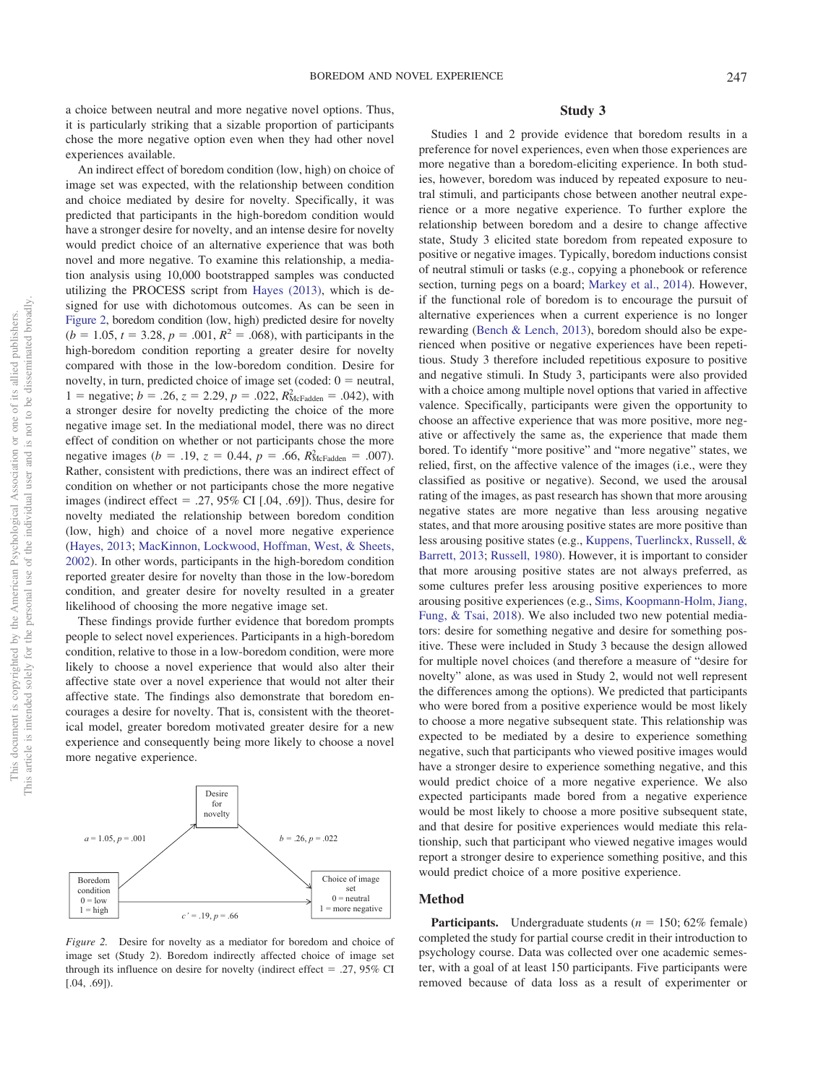a choice between neutral and more negative novel options. Thus, it is particularly striking that a sizable proportion of participants chose the more negative option even when they had other novel experiences available.

An indirect effect of boredom condition (low, high) on choice of image set was expected, with the relationship between condition and choice mediated by desire for novelty. Specifically, it was predicted that participants in the high-boredom condition would have a stronger desire for novelty, and an intense desire for novelty would predict choice of an alternative experience that was both novel and more negative. To examine this relationship, a mediation analysis using 10,000 bootstrapped samples was conducted utilizing the PROCESS script from [Hayes \(2013\),](#page-10-32) which is designed for use with dichotomous outcomes. As can be seen in [Figure 2,](#page-5-0) boredom condition (low, high) predicted desire for novelty  $(b = 1.05, t = 3.28, p = .001, R<sup>2</sup> = .068)$ , with participants in the high-boredom condition reporting a greater desire for novelty compared with those in the low-boredom condition. Desire for novelty, in turn, predicted choice of image set (coded:  $0 =$  neutral, 1 = negative;  $b = .26$ ,  $z = 2.29$ ,  $p = .022$ ,  $R_{\text{McFadden}}^2 = .042$ ), with a stronger desire for novelty predicting the choice of the more negative image set. In the mediational model, there was no direct effect of condition on whether or not participants chose the more negative images ( $b = .19$ ,  $z = 0.44$ ,  $p = .66$ ,  $R_{\text{McFadden}}^2 = .007$ ). Rather, consistent with predictions, there was an indirect effect of condition on whether or not participants chose the more negative images (indirect effect  $= .27, 95\%$  CI [.04, .69]). Thus, desire for novelty mediated the relationship between boredom condition (low, high) and choice of a novel more negative experience [\(Hayes, 2013;](#page-10-32) [MacKinnon, Lockwood, Hoffman, West, & Sheets,](#page-11-25) [2002\)](#page-11-25). In other words, participants in the high-boredom condition reported greater desire for novelty than those in the low-boredom condition, and greater desire for novelty resulted in a greater likelihood of choosing the more negative image set.

These findings provide further evidence that boredom prompts people to select novel experiences. Participants in a high-boredom condition, relative to those in a low-boredom condition, were more likely to choose a novel experience that would also alter their affective state over a novel experience that would not alter their affective state. The findings also demonstrate that boredom encourages a desire for novelty. That is, consistent with the theoretical model, greater boredom motivated greater desire for a new experience and consequently being more likely to choose a novel more negative experience.



<span id="page-5-0"></span>*Figure 2.* Desire for novelty as a mediator for boredom and choice of image set (Study 2). Boredom indirectly affected choice of image set through its influence on desire for novelty (indirect effect  $= .27, 95\%$  CI [.04, .69]).

### **Study 3**

Studies 1 and 2 provide evidence that boredom results in a preference for novel experiences, even when those experiences are more negative than a boredom-eliciting experience. In both studies, however, boredom was induced by repeated exposure to neutral stimuli, and participants chose between another neutral experience or a more negative experience. To further explore the relationship between boredom and a desire to change affective state, Study 3 elicited state boredom from repeated exposure to positive or negative images. Typically, boredom inductions consist of neutral stimuli or tasks (e.g., copying a phonebook or reference section, turning pegs on a board; [Markey et al., 2014\)](#page-11-18). However, if the functional role of boredom is to encourage the pursuit of alternative experiences when a current experience is no longer rewarding [\(Bench & Lench, 2013\)](#page-10-9), boredom should also be experienced when positive or negative experiences have been repetitious. Study 3 therefore included repetitious exposure to positive and negative stimuli. In Study 3, participants were also provided with a choice among multiple novel options that varied in affective valence. Specifically, participants were given the opportunity to choose an affective experience that was more positive, more negative or affectively the same as, the experience that made them bored. To identify "more positive" and "more negative" states, we relied, first, on the affective valence of the images (i.e., were they classified as positive or negative). Second, we used the arousal rating of the images, as past research has shown that more arousing negative states are more negative than less arousing negative states, and that more arousing positive states are more positive than less arousing positive states (e.g., [Kuppens, Tuerlinckx, Russell, &](#page-11-26) [Barrett, 2013;](#page-11-26) [Russell, 1980\)](#page-12-26). However, it is important to consider that more arousing positive states are not always preferred, as some cultures prefer less arousing positive experiences to more arousing positive experiences (e.g., [Sims, Koopmann-Holm, Jiang,](#page-12-27) [Fung, & Tsai, 2018\)](#page-12-27). We also included two new potential mediators: desire for something negative and desire for something positive. These were included in Study 3 because the design allowed for multiple novel choices (and therefore a measure of "desire for novelty" alone, as was used in Study 2, would not well represent the differences among the options). We predicted that participants who were bored from a positive experience would be most likely to choose a more negative subsequent state. This relationship was expected to be mediated by a desire to experience something negative, such that participants who viewed positive images would have a stronger desire to experience something negative, and this would predict choice of a more negative experience. We also expected participants made bored from a negative experience would be most likely to choose a more positive subsequent state, and that desire for positive experiences would mediate this relationship, such that participant who viewed negative images would report a stronger desire to experience something positive, and this would predict choice of a more positive experience.

#### **Method**

**Participants.** Undergraduate students ( $n = 150$ ; 62% female) completed the study for partial course credit in their introduction to psychology course. Data was collected over one academic semester, with a goal of at least 150 participants. Five participants were removed because of data loss as a result of experimenter or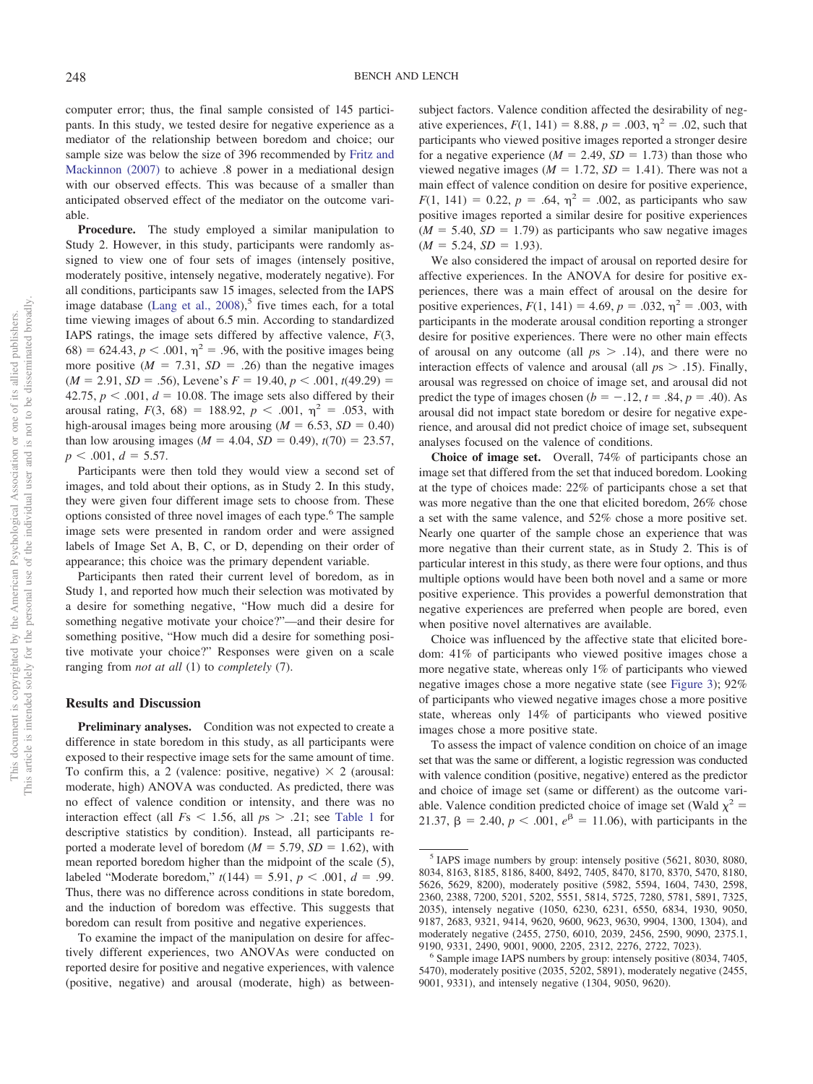computer error; thus, the final sample consisted of 145 participants. In this study, we tested desire for negative experience as a mediator of the relationship between boredom and choice; our sample size was below the size of 396 recommended by [Fritz and](#page-10-31) [Mackinnon \(2007\)](#page-10-31) to achieve .8 power in a mediational design with our observed effects. This was because of a smaller than anticipated observed effect of the mediator on the outcome variable.

**Procedure.** The study employed a similar manipulation to Study 2. However, in this study, participants were randomly assigned to view one of four sets of images (intensely positive, moderately positive, intensely negative, moderately negative). For all conditions, participants saw 15 images, selected from the IAPS image database (Lang et al.,  $2008$ ),<sup>5</sup> five times each, for a total time viewing images of about 6.5 min. According to standardized IAPS ratings, the image sets differed by affective valence, *F*(3, 68) = 624.43,  $p < .001$ ,  $\eta^2 = .96$ , with the positive images being more positive  $(M = 7.31, SD = .26)$  than the negative images  $(M = 2.91, SD = .56)$ , Levene's  $F = 19.40, p < .001, t(49.29) =$ 42.75,  $p < .001$ ,  $d = 10.08$ . The image sets also differed by their arousal rating,  $F(3, 68) = 188.92$ ,  $p < .001$ ,  $\eta^2 = .053$ , with high-arousal images being more arousing  $(M = 6.53, SD = 0.40)$ than low arousing images ( $M = 4.04$ ,  $SD = 0.49$ ),  $t(70) = 23.57$ ,  $p < .001, d = 5.57.$ 

Participants were then told they would view a second set of images, and told about their options, as in Study 2. In this study, they were given four different image sets to choose from. These options consisted of three novel images of each type.6 The sample image sets were presented in random order and were assigned labels of Image Set A, B, C, or D, depending on their order of appearance; this choice was the primary dependent variable.

Participants then rated their current level of boredom, as in Study 1, and reported how much their selection was motivated by a desire for something negative, "How much did a desire for something negative motivate your choice?"—and their desire for something positive, "How much did a desire for something positive motivate your choice?" Responses were given on a scale ranging from *not at all* (1) to *completely* (7).

#### **Results and Discussion**

Preliminary analyses. Condition was not expected to create a difference in state boredom in this study, as all participants were exposed to their respective image sets for the same amount of time. To confirm this, a 2 (valence: positive, negative)  $\times$  2 (arousal: moderate, high) ANOVA was conducted. As predicted, there was no effect of valence condition or intensity, and there was no interaction effect (all  $Fs < 1.56$ , all  $ps > .21$ ; see [Table 1](#page-7-0) for descriptive statistics by condition). Instead, all participants reported a moderate level of boredom ( $M = 5.79$ ,  $SD = 1.62$ ), with mean reported boredom higher than the midpoint of the scale (5), labeled "Moderate boredom,"  $t(144) = 5.91, p < .001, d = .99$ . Thus, there was no difference across conditions in state boredom, and the induction of boredom was effective. This suggests that boredom can result from positive and negative experiences.

To examine the impact of the manipulation on desire for affectively different experiences, two ANOVAs were conducted on reported desire for positive and negative experiences, with valence (positive, negative) and arousal (moderate, high) as between-

subject factors. Valence condition affected the desirability of negative experiences,  $F(1, 141) = 8.88$ ,  $p = .003$ ,  $\eta^2 = .02$ , such that participants who viewed positive images reported a stronger desire for a negative experience ( $M = 2.49$ ,  $SD = 1.73$ ) than those who viewed negative images ( $M = 1.72$ ,  $SD = 1.41$ ). There was not a main effect of valence condition on desire for positive experience,  $F(1, 141) = 0.22, p = .64, \eta^2 = .002$ , as participants who saw positive images reported a similar desire for positive experiences  $(M = 5.40, SD = 1.79)$  as participants who saw negative images  $(M = 5.24, SD = 1.93).$ 

We also considered the impact of arousal on reported desire for affective experiences. In the ANOVA for desire for positive experiences, there was a main effect of arousal on the desire for positive experiences,  $F(1, 141) = 4.69$ ,  $p = .032$ ,  $\eta^2 = .003$ , with participants in the moderate arousal condition reporting a stronger desire for positive experiences. There were no other main effects of arousal on any outcome (all  $ps > .14$ ), and there were no interaction effects of valence and arousal (all  $p_s > .15$ ). Finally, arousal was regressed on choice of image set, and arousal did not predict the type of images chosen ( $b = -.12$ ,  $t = .84$ ,  $p = .40$ ). As arousal did not impact state boredom or desire for negative experience, and arousal did not predict choice of image set, subsequent analyses focused on the valence of conditions.

**Choice of image set.** Overall, 74% of participants chose an image set that differed from the set that induced boredom. Looking at the type of choices made: 22% of participants chose a set that was more negative than the one that elicited boredom, 26% chose a set with the same valence, and 52% chose a more positive set. Nearly one quarter of the sample chose an experience that was more negative than their current state, as in Study 2. This is of particular interest in this study, as there were four options, and thus multiple options would have been both novel and a same or more positive experience. This provides a powerful demonstration that negative experiences are preferred when people are bored, even when positive novel alternatives are available.

Choice was influenced by the affective state that elicited boredom: 41% of participants who viewed positive images chose a more negative state, whereas only 1% of participants who viewed negative images chose a more negative state (see [Figure 3\)](#page-7-1); 92% of participants who viewed negative images chose a more positive state, whereas only 14% of participants who viewed positive images chose a more positive state.

To assess the impact of valence condition on choice of an image set that was the same or different, a logistic regression was conducted with valence condition (positive, negative) entered as the predictor and choice of image set (same or different) as the outcome variable. Valence condition predicted choice of image set (Wald  $\chi^2$  = 21.37,  $\beta = 2.40, p < .001, e^{\beta} = 11.06$ , with participants in the

<sup>5</sup> IAPS image numbers by group: intensely positive (5621, 8030, 8080, 8034, 8163, 8185, 8186, 8400, 8492, 7405, 8470, 8170, 8370, 5470, 8180, 5626, 5629, 8200), moderately positive (5982, 5594, 1604, 7430, 2598, 2360, 2388, 7200, 5201, 5202, 5551, 5814, 5725, 7280, 5781, 5891, 7325, 2035), intensely negative (1050, 6230, 6231, 6550, 6834, 1930, 9050, 9187, 2683, 9321, 9414, 9620, 9600, 9623, 9630, 9904, 1300, 1304), and moderately negative (2455, 2750, 6010, 2039, 2456, 2590, 9090, 2375.1, 9190, 9331, 2490, 9001, 9000, 2205, 2312, 2276, 2722, 7023).

 $6$  Sample image IAPS numbers by group: intensely positive (8034, 7405, 5470), moderately positive (2035, 5202, 5891), moderately negative (2455, 9001, 9331), and intensely negative (1304, 9050, 9620).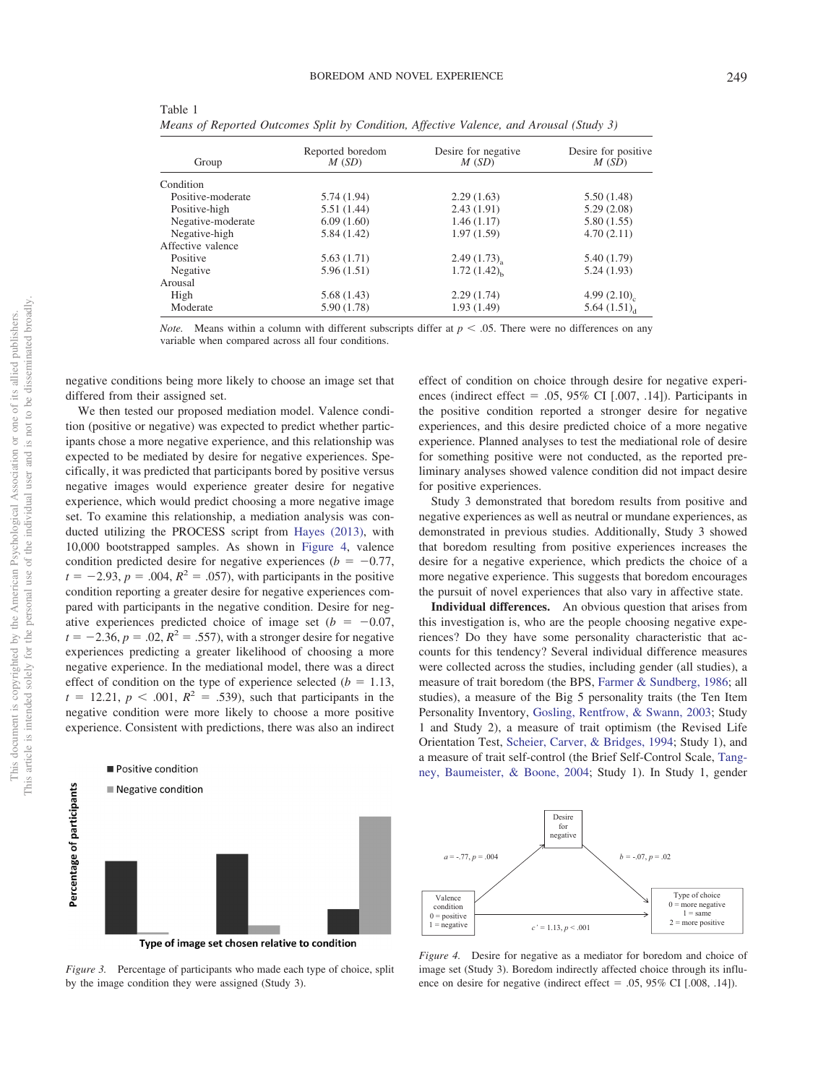| Group             | Reported boredom<br>M(SD) | Desire for negative<br>M(SD) | Desire for positive<br>M(SD) |
|-------------------|---------------------------|------------------------------|------------------------------|
| Condition         |                           |                              |                              |
| Positive-moderate | 5.74 (1.94)               | 2.29(1.63)                   | 5.50(1.48)                   |
| Positive-high     | 5.51 (1.44)               | 2.43(1.91)                   | 5.29(2.08)                   |
| Negative-moderate | 6.09(1.60)                | 1.46(1.17)                   | 5.80(1.55)                   |
| Negative-high     | 5.84(1.42)                | 1.97(1.59)                   | 4.70(2.11)                   |
| Affective valence |                           |                              |                              |
| Positive          | 5.63(1.71)                | $2.49(1.73)_{\rm a}$         | 5.40 (1.79)                  |
| Negative          | 5.96(1.51)                | $1.72(1.42)_{h}$             | 5.24(1.93)                   |
| Arousal           |                           |                              |                              |
| High              | 5.68(1.43)                | 2.29(1.74)                   | 4.99 $(2.10)_{c}$            |
| Moderate          | 5.90 (1.78)               | 1.93(1.49)                   | $5.64(1.51)_{d}$             |

<span id="page-7-0"></span>Table 1 *Means of Reported Outcomes Split by Condition, Affective Valence, and Arousal (Study 3)*

*Note.* Means within a column with different subscripts differ at  $p < .05$ . There were no differences on any variable when compared across all four conditions.

negative conditions being more likely to choose an image set that differed from their assigned set.

We then tested our proposed mediation model. Valence condition (positive or negative) was expected to predict whether participants chose a more negative experience, and this relationship was expected to be mediated by desire for negative experiences. Specifically, it was predicted that participants bored by positive versus negative images would experience greater desire for negative experience, which would predict choosing a more negative image set. To examine this relationship, a mediation analysis was conducted utilizing the PROCESS script from [Hayes \(2013\),](#page-10-32) with 10,000 bootstrapped samples. As shown in [Figure 4,](#page-7-2) valence condition predicted desire for negative experiences ( $b = -0.77$ ,  $t = -2.93$ ,  $p = .004$ ,  $R^2 = .057$ ), with participants in the positive condition reporting a greater desire for negative experiences compared with participants in the negative condition. Desire for negative experiences predicted choice of image set ( $b = -0.07$ ,  $t = -2.36$ ,  $p = .02$ ,  $R^2 = .557$ ), with a stronger desire for negative experiences predicting a greater likelihood of choosing a more negative experience. In the mediational model, there was a direct effect of condition on the type of experience selected ( $b = 1.13$ ,  $t = 12.21, p < .001, R^2 = .539$ , such that participants in the negative condition were more likely to choose a more positive experience. Consistent with predictions, there was also an indirect



Type of image set chosen relative to condition

<span id="page-7-1"></span>*Figure 3.* Percentage of participants who made each type of choice, split by the image condition they were assigned (Study 3).

effect of condition on choice through desire for negative experiences (indirect effect  $= .05, 95\%$  CI [.007, .14]). Participants in the positive condition reported a stronger desire for negative experiences, and this desire predicted choice of a more negative experience. Planned analyses to test the mediational role of desire for something positive were not conducted, as the reported preliminary analyses showed valence condition did not impact desire for positive experiences.

Study 3 demonstrated that boredom results from positive and negative experiences as well as neutral or mundane experiences, as demonstrated in previous studies. Additionally, Study 3 showed that boredom resulting from positive experiences increases the desire for a negative experience, which predicts the choice of a more negative experience. This suggests that boredom encourages the pursuit of novel experiences that also vary in affective state.

**Individual differences.** An obvious question that arises from this investigation is, who are the people choosing negative experiences? Do they have some personality characteristic that accounts for this tendency? Several individual difference measures were collected across the studies, including gender (all studies), a measure of trait boredom (the BPS, [Farmer & Sundberg, 1986;](#page-10-30) all studies), a measure of the Big 5 personality traits (the Ten Item Personality Inventory, [Gosling, Rentfrow, & Swann, 2003;](#page-10-33) Study 1 and Study 2), a measure of trait optimism (the Revised Life Orientation Test, [Scheier, Carver, & Bridges, 1994;](#page-12-28) Study 1), and a measure of trait self-control (the Brief Self-Control Scale, [Tang](#page-12-29)[ney, Baumeister, & Boone, 2004;](#page-12-29) Study 1). In Study 1, gender



<span id="page-7-2"></span>*Figure 4.* Desire for negative as a mediator for boredom and choice of image set (Study 3). Boredom indirectly affected choice through its influence on desire for negative (indirect effect  $= .05, 95\%$  CI [.008, .14]).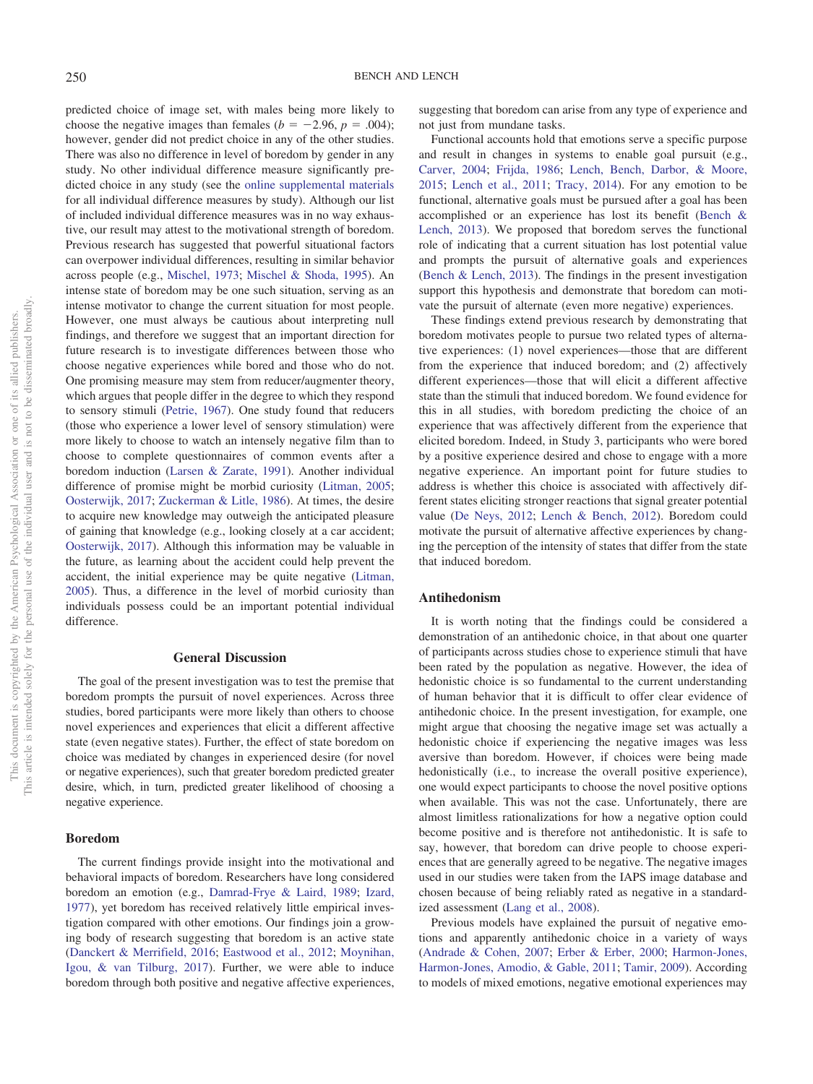predicted choice of image set, with males being more likely to choose the negative images than females ( $b = -2.96$ ,  $p = .004$ ); however, gender did not predict choice in any of the other studies. There was also no difference in level of boredom by gender in any study. No other individual difference measure significantly predicted choice in any study (see the [online supplemental materials](http://dx.doi.org/10.1037/emo0000433.supp) for all individual difference measures by study). Although our list of included individual difference measures was in no way exhaustive, our result may attest to the motivational strength of boredom. Previous research has suggested that powerful situational factors can overpower individual differences, resulting in similar behavior across people (e.g., [Mischel, 1973;](#page-11-27) [Mischel & Shoda, 1995\)](#page-11-28). An intense state of boredom may be one such situation, serving as an intense motivator to change the current situation for most people. However, one must always be cautious about interpreting null findings, and therefore we suggest that an important direction for future research is to investigate differences between those who choose negative experiences while bored and those who do not. One promising measure may stem from reducer/augmenter theory, which argues that people differ in the degree to which they respond to sensory stimuli [\(Petrie, 1967\)](#page-12-30). One study found that reducers (those who experience a lower level of sensory stimulation) were more likely to choose to watch an intensely negative film than to choose to complete questionnaires of common events after a boredom induction [\(Larsen & Zarate, 1991\)](#page-11-29). Another individual difference of promise might be morbid curiosity [\(Litman, 2005;](#page-11-30) [Oosterwijk, 2017;](#page-11-31) [Zuckerman & Litle, 1986\)](#page-12-31). At times, the desire to acquire new knowledge may outweigh the anticipated pleasure of gaining that knowledge (e.g., looking closely at a car accident; [Oosterwijk, 2017\)](#page-11-31). Although this information may be valuable in the future, as learning about the accident could help prevent the accident, the initial experience may be quite negative [\(Litman,](#page-11-30) [2005\)](#page-11-30). Thus, a difference in the level of morbid curiosity than individuals possess could be an important potential individual difference.

#### **General Discussion**

The goal of the present investigation was to test the premise that boredom prompts the pursuit of novel experiences. Across three studies, bored participants were more likely than others to choose novel experiences and experiences that elicit a different affective state (even negative states). Further, the effect of state boredom on choice was mediated by changes in experienced desire (for novel or negative experiences), such that greater boredom predicted greater desire, which, in turn, predicted greater likelihood of choosing a negative experience.

#### **Boredom**

The current findings provide insight into the motivational and behavioral impacts of boredom. Researchers have long considered boredom an emotion (e.g., [Damrad-Frye & Laird, 1989;](#page-10-1) [Izard,](#page-10-2) [1977\)](#page-10-2), yet boredom has received relatively little empirical investigation compared with other emotions. Our findings join a growing body of research suggesting that boredom is an active state [\(Danckert & Merrifield, 2016;](#page-10-34) [Eastwood et al., 2012;](#page-10-5) [Moynihan,](#page-11-32) [Igou, & van Tilburg, 2017\)](#page-11-32). Further, we were able to induce boredom through both positive and negative affective experiences,

suggesting that boredom can arise from any type of experience and not just from mundane tasks.

Functional accounts hold that emotions serve a specific purpose and result in changes in systems to enable goal pursuit (e.g., [Carver, 2004;](#page-10-15) [Frijda, 1986;](#page-10-35) [Lench, Bench, Darbor, & Moore,](#page-11-33) [2015;](#page-11-33) [Lench et al., 2011;](#page-11-8) [Tracy, 2014\)](#page-12-32). For any emotion to be functional, alternative goals must be pursued after a goal has been accomplished or an experience has lost its benefit [\(Bench &](#page-10-9) [Lench, 2013\)](#page-10-9). We proposed that boredom serves the functional role of indicating that a current situation has lost potential value and prompts the pursuit of alternative goals and experiences [\(Bench & Lench, 2013\)](#page-10-9). The findings in the present investigation support this hypothesis and demonstrate that boredom can motivate the pursuit of alternate (even more negative) experiences.

These findings extend previous research by demonstrating that boredom motivates people to pursue two related types of alternative experiences: (1) novel experiences—those that are different from the experience that induced boredom; and (2) affectively different experiences—those that will elicit a different affective state than the stimuli that induced boredom. We found evidence for this in all studies, with boredom predicting the choice of an experience that was affectively different from the experience that elicited boredom. Indeed, in Study 3, participants who were bored by a positive experience desired and chose to engage with a more negative experience. An important point for future studies to address is whether this choice is associated with affectively different states eliciting stronger reactions that signal greater potential value [\(De Neys, 2012;](#page-10-36) [Lench & Bench, 2012\)](#page-11-34). Boredom could motivate the pursuit of alternative affective experiences by changing the perception of the intensity of states that differ from the state that induced boredom.

## **Antihedonism**

It is worth noting that the findings could be considered a demonstration of an antihedonic choice, in that about one quarter of participants across studies chose to experience stimuli that have been rated by the population as negative. However, the idea of hedonistic choice is so fundamental to the current understanding of human behavior that it is difficult to offer clear evidence of antihedonic choice. In the present investigation, for example, one might argue that choosing the negative image set was actually a hedonistic choice if experiencing the negative images was less aversive than boredom. However, if choices were being made hedonistically (i.e., to increase the overall positive experience), one would expect participants to choose the novel positive options when available. This was not the case. Unfortunately, there are almost limitless rationalizations for how a negative option could become positive and is therefore not antihedonistic. It is safe to say, however, that boredom can drive people to choose experiences that are generally agreed to be negative. The negative images used in our studies were taken from the IAPS image database and chosen because of being reliably rated as negative in a standardized assessment [\(Lang et al., 2008\)](#page-11-23).

Previous models have explained the pursuit of negative emotions and apparently antihedonic choice in a variety of ways [\(Andrade & Cohen, 2007;](#page-10-37) [Erber & Erber, 2000;](#page-10-27) [Harmon-Jones,](#page-10-38) [Harmon-Jones, Amodio, & Gable, 2011;](#page-10-38) [Tamir, 2009\)](#page-12-18). According to models of mixed emotions, negative emotional experiences may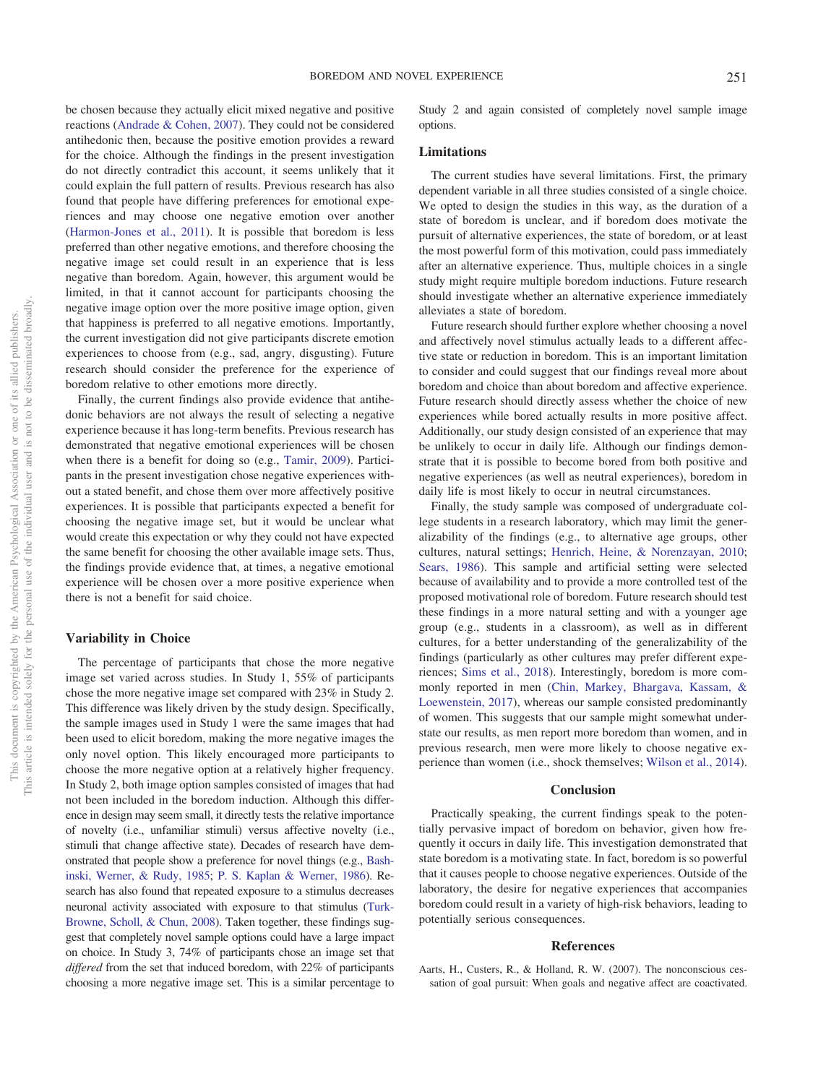be chosen because they actually elicit mixed negative and positive reactions [\(Andrade & Cohen, 2007\)](#page-10-37). They could not be considered antihedonic then, because the positive emotion provides a reward for the choice. Although the findings in the present investigation do not directly contradict this account, it seems unlikely that it could explain the full pattern of results. Previous research has also found that people have differing preferences for emotional experiences and may choose one negative emotion over another [\(Harmon-Jones et al., 2011\)](#page-10-38). It is possible that boredom is less preferred than other negative emotions, and therefore choosing the negative image set could result in an experience that is less negative than boredom. Again, however, this argument would be limited, in that it cannot account for participants choosing the negative image option over the more positive image option, given that happiness is preferred to all negative emotions. Importantly, the current investigation did not give participants discrete emotion experiences to choose from (e.g., sad, angry, disgusting). Future research should consider the preference for the experience of boredom relative to other emotions more directly.

Finally, the current findings also provide evidence that antihedonic behaviors are not always the result of selecting a negative experience because it has long-term benefits. Previous research has demonstrated that negative emotional experiences will be chosen when there is a benefit for doing so (e.g., [Tamir, 2009\)](#page-12-18). Participants in the present investigation chose negative experiences without a stated benefit, and chose them over more affectively positive experiences. It is possible that participants expected a benefit for choosing the negative image set, but it would be unclear what would create this expectation or why they could not have expected the same benefit for choosing the other available image sets. Thus, the findings provide evidence that, at times, a negative emotional experience will be chosen over a more positive experience when there is not a benefit for said choice.

## **Variability in Choice**

The percentage of participants that chose the more negative image set varied across studies. In Study 1, 55% of participants chose the more negative image set compared with 23% in Study 2. This difference was likely driven by the study design. Specifically, the sample images used in Study 1 were the same images that had been used to elicit boredom, making the more negative images the only novel option. This likely encouraged more participants to choose the more negative option at a relatively higher frequency. In Study 2, both image option samples consisted of images that had not been included in the boredom induction. Although this difference in design may seem small, it directly tests the relative importance of novelty (i.e., unfamiliar stimuli) versus affective novelty (i.e., stimuli that change affective state). Decades of research have demonstrated that people show a preference for novel things (e.g., [Bash](#page-10-39)[inski, Werner, & Rudy, 1985;](#page-10-39) [P. S. Kaplan & Werner, 1986\)](#page-11-35). Research has also found that repeated exposure to a stimulus decreases neuronal activity associated with exposure to that stimulus [\(Turk-](#page-12-33)[Browne, Scholl, & Chun, 2008\)](#page-12-33). Taken together, these findings suggest that completely novel sample options could have a large impact on choice. In Study 3, 74% of participants chose an image set that *differed* from the set that induced boredom, with 22% of participants choosing a more negative image set. This is a similar percentage to Study 2 and again consisted of completely novel sample image options.

## **Limitations**

The current studies have several limitations. First, the primary dependent variable in all three studies consisted of a single choice. We opted to design the studies in this way, as the duration of a state of boredom is unclear, and if boredom does motivate the pursuit of alternative experiences, the state of boredom, or at least the most powerful form of this motivation, could pass immediately after an alternative experience. Thus, multiple choices in a single study might require multiple boredom inductions. Future research should investigate whether an alternative experience immediately alleviates a state of boredom.

Future research should further explore whether choosing a novel and affectively novel stimulus actually leads to a different affective state or reduction in boredom. This is an important limitation to consider and could suggest that our findings reveal more about boredom and choice than about boredom and affective experience. Future research should directly assess whether the choice of new experiences while bored actually results in more positive affect. Additionally, our study design consisted of an experience that may be unlikely to occur in daily life. Although our findings demonstrate that it is possible to become bored from both positive and negative experiences (as well as neutral experiences), boredom in daily life is most likely to occur in neutral circumstances.

Finally, the study sample was composed of undergraduate college students in a research laboratory, which may limit the generalizability of the findings (e.g., to alternative age groups, other cultures, natural settings; [Henrich, Heine, & Norenzayan, 2010;](#page-10-40) [Sears, 1986\)](#page-12-34). This sample and artificial setting were selected because of availability and to provide a more controlled test of the proposed motivational role of boredom. Future research should test these findings in a more natural setting and with a younger age group (e.g., students in a classroom), as well as in different cultures, for a better understanding of the generalizability of the findings (particularly as other cultures may prefer different experiences; [Sims et al., 2018\)](#page-12-27). Interestingly, boredom is more commonly reported in men [\(Chin, Markey, Bhargava, Kassam, &](#page-10-41) [Loewenstein, 2017\)](#page-10-41), whereas our sample consisted predominantly of women. This suggests that our sample might somewhat understate our results, as men report more boredom than women, and in previous research, men were more likely to choose negative experience than women (i.e., shock themselves; [Wilson et al., 2014\)](#page-12-21).

## **Conclusion**

Practically speaking, the current findings speak to the potentially pervasive impact of boredom on behavior, given how frequently it occurs in daily life. This investigation demonstrated that state boredom is a motivating state. In fact, boredom is so powerful that it causes people to choose negative experiences. Outside of the laboratory, the desire for negative experiences that accompanies boredom could result in a variety of high-risk behaviors, leading to potentially serious consequences.

#### **References**

<span id="page-9-0"></span>Aarts, H., Custers, R., & Holland, R. W. (2007). The nonconscious cessation of goal pursuit: When goals and negative affect are coactivated.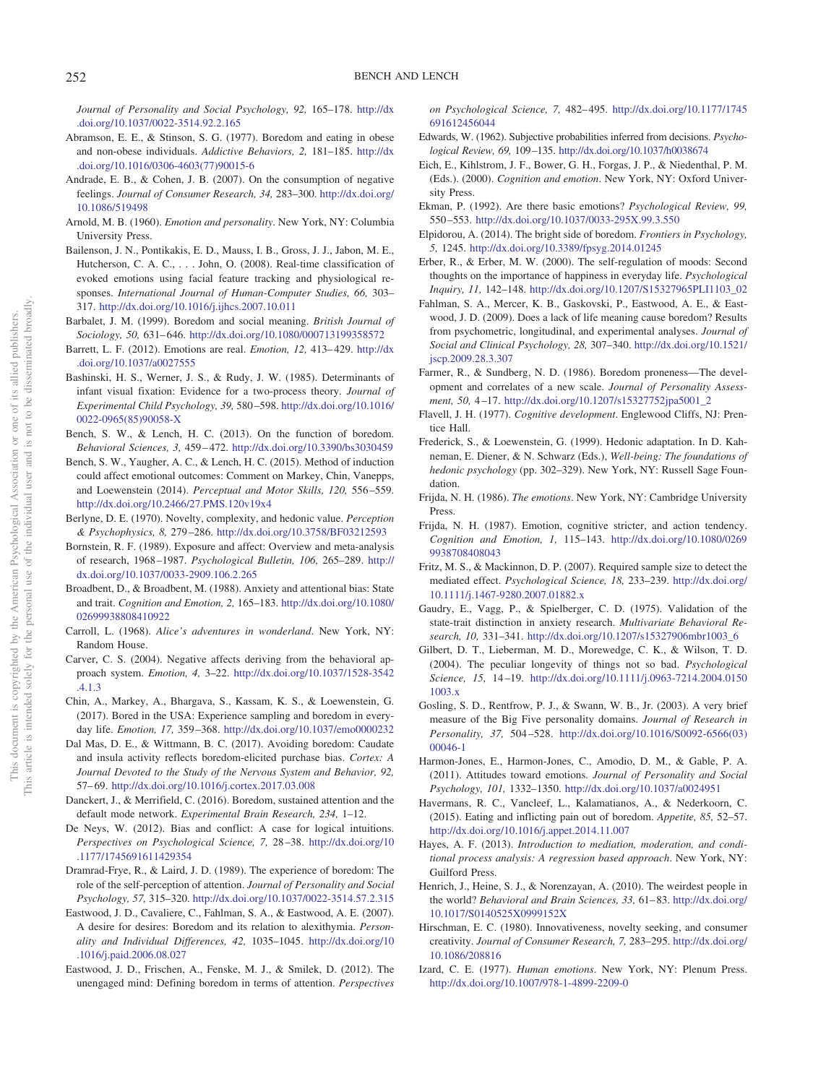*Journal of Personality and Social Psychology, 92,* 165–178. [http://dx](http://dx.doi.org/10.1037/0022-3514.92.2.165) [.doi.org/10.1037/0022-3514.92.2.165](http://dx.doi.org/10.1037/0022-3514.92.2.165)

- <span id="page-10-6"></span>Abramson, E. E., & Stinson, S. G. (1977). Boredom and eating in obese and non-obese individuals. *Addictive Behaviors, 2,* 181–185. [http://dx](http://dx.doi.org/10.1016/0306-4603%2877%2990015-6) [.doi.org/10.1016/0306-4603\(77\)90015-6](http://dx.doi.org/10.1016/0306-4603%2877%2990015-6)
- <span id="page-10-37"></span>Andrade, E. B., & Cohen, J. B. (2007). On the consumption of negative feelings. *Journal of Consumer Research, 34,* 283–300. [http://dx.doi.org/](http://dx.doi.org/10.1086/519498) [10.1086/519498](http://dx.doi.org/10.1086/519498)
- <span id="page-10-17"></span>Arnold, M. B. (1960). *Emotion and personality*. New York, NY: Columbia University Press.
- <span id="page-10-19"></span>Bailenson, J. N., Pontikakis, E. D., Mauss, I. B., Gross, J. J., Jabon, M. E., Hutcherson, C. A. C., . . . John, O. (2008). Real-time classification of evoked emotions using facial feature tracking and physiological responses. *International Journal of Human-Computer Studies, 66,* 303– 317. <http://dx.doi.org/10.1016/j.ijhcs.2007.10.011>
- <span id="page-10-8"></span>Barbalet, J. M. (1999). Boredom and social meaning. *British Journal of Sociology, 50,* 631– 646. <http://dx.doi.org/10.1080/000713199358572>
- <span id="page-10-14"></span>Barrett, L. F. (2012). Emotions are real. *Emotion, 12,* 413– 429. [http://dx](http://dx.doi.org/10.1037/a0027555) [.doi.org/10.1037/a0027555](http://dx.doi.org/10.1037/a0027555)
- <span id="page-10-39"></span>Bashinski, H. S., Werner, J. S., & Rudy, J. W. (1985). Determinants of infant visual fixation: Evidence for a two-process theory. *Journal of Experimental Child Psychology, 39,* 580 –598. [http://dx.doi.org/10.1016/](http://dx.doi.org/10.1016/0022-0965%2885%2990058-X) [0022-0965\(85\)90058-X](http://dx.doi.org/10.1016/0022-0965%2885%2990058-X)
- <span id="page-10-9"></span>Bench, S. W., & Lench, H. C. (2013). On the function of boredom. *Behavioral Sciences, 3,* 459 – 472. <http://dx.doi.org/10.3390/bs3030459>
- <span id="page-10-7"></span>Bench, S. W., Yaugher, A. C., & Lench, H. C. (2015). Method of induction could affect emotional outcomes: Comment on Markey, Chin, Vanepps, and Loewenstein (2014). *Perceptual and Motor Skills, 120,* 556 –559. <http://dx.doi.org/10.2466/27.PMS.120v19x4>
- <span id="page-10-22"></span>Berlyne, D. E. (1970). Novelty, complexity, and hedonic value. *Perception & Psychophysics, 8,* 279 –286. <http://dx.doi.org/10.3758/BF03212593>
- <span id="page-10-25"></span>Bornstein, R. F. (1989). Exposure and affect: Overview and meta-analysis of research, 1968 –1987. *Psychological Bulletin, 106,* 265–289. [http://](http://dx.doi.org/10.1037/0033-2909.106.2.265) [dx.doi.org/10.1037/0033-2909.106.2.265](http://dx.doi.org/10.1037/0033-2909.106.2.265)
- <span id="page-10-11"></span>Broadbent, D., & Broadbent, M. (1988). Anxiety and attentional bias: State and trait. *Cognition and Emotion, 2,* 165–183. [http://dx.doi.org/10.1080/](http://dx.doi.org/10.1080/02699938808410922) [02699938808410922](http://dx.doi.org/10.1080/02699938808410922)
- <span id="page-10-0"></span>Carroll, L. (1968). *Alice's adventures in wonderland*. New York, NY: Random House.
- <span id="page-10-15"></span>Carver, C. S. (2004). Negative affects deriving from the behavioral approach system. *Emotion, 4,* 3–22. [http://dx.doi.org/10.1037/1528-3542](http://dx.doi.org/10.1037/1528-3542.4.1.3) [.4.1.3](http://dx.doi.org/10.1037/1528-3542.4.1.3)
- <span id="page-10-41"></span>Chin, A., Markey, A., Bhargava, S., Kassam, K. S., & Loewenstein, G. (2017). Bored in the USA: Experience sampling and boredom in everyday life. *Emotion, 17,* 359 –368. <http://dx.doi.org/10.1037/emo0000232>
- <span id="page-10-28"></span>Dal Mas, D. E., & Wittmann, B. C. (2017). Avoiding boredom: Caudate and insula activity reflects boredom-elicited purchase bias. *Cortex: A Journal Devoted to the Study of the Nervous System and Behavior, 92,* 57– 69. <http://dx.doi.org/10.1016/j.cortex.2017.03.008>
- <span id="page-10-34"></span>Danckert, J., & Merrifield, C. (2016). Boredom, sustained attention and the default mode network. *Experimental Brain Research, 234,* 1–12.
- <span id="page-10-36"></span>De Neys, W. (2012). Bias and conflict: A case for logical intuitions. *Perspectives on Psychological Science, 7,* 28 –38. [http://dx.doi.org/10](http://dx.doi.org/10.1177/1745691611429354) [.1177/1745691611429354](http://dx.doi.org/10.1177/1745691611429354)
- <span id="page-10-1"></span>Dramrad-Frye, R., & Laird, J. D. (1989). The experience of boredom: The role of the self-perception of attention. *Journal of Personality and Social Psychology, 57,* 315–320. <http://dx.doi.org/10.1037/0022-3514.57.2.315>
- <span id="page-10-4"></span>Eastwood, J. D., Cavaliere, C., Fahlman, S. A., & Eastwood, A. E. (2007). A desire for desires: Boredom and its relation to alexithymia. *Personality and Individual Differences, 42,* 1035–1045. [http://dx.doi.org/10](http://dx.doi.org/10.1016/j.paid.2006.08.027) [.1016/j.paid.2006.08.027](http://dx.doi.org/10.1016/j.paid.2006.08.027)
- <span id="page-10-5"></span>Eastwood, J. D., Frischen, A., Fenske, M. J., & Smilek, D. (2012). The unengaged mind: Defining boredom in terms of attention. *Perspectives*

*on Psychological Science, 7,* 482– 495. [http://dx.doi.org/10.1177/1745](http://dx.doi.org/10.1177/1745691612456044) [691612456044](http://dx.doi.org/10.1177/1745691612456044)

- <span id="page-10-26"></span>Edwards, W. (1962). Subjective probabilities inferred from decisions. *Psychological Review, 69,* 109 –135. <http://dx.doi.org/10.1037/h0038674>
- <span id="page-10-13"></span>Eich, E., Kihlstrom, J. F., Bower, G. H., Forgas, J. P., & Niedenthal, P. M. (Eds.). (2000). *Cognition and emotion*. New York, NY: Oxford University Press.
- <span id="page-10-18"></span>Ekman, P. (1992). Are there basic emotions? *Psychological Review, 99,* 550 –553. <http://dx.doi.org/10.1037/0033-295X.99.3.550>
- <span id="page-10-10"></span>Elpidorou, A. (2014). The bright side of boredom. *Frontiers in Psychology, 5,* 1245. <http://dx.doi.org/10.3389/fpsyg.2014.01245>
- <span id="page-10-27"></span>Erber, R., & Erber, M. W. (2000). The self-regulation of moods: Second thoughts on the importance of happiness in everyday life. *Psychological Inquiry, 11,* 142–148. [http://dx.doi.org/10.1207/S15327965PLI1103\\_02](http://dx.doi.org/10.1207/S15327965PLI1103_02)
- <span id="page-10-3"></span>Fahlman, S. A., Mercer, K. B., Gaskovski, P., Eastwood, A. E., & Eastwood, J. D. (2009). Does a lack of life meaning cause boredom? Results from psychometric, longitudinal, and experimental analyses. *Journal of Social and Clinical Psychology, 28,* 307–340. [http://dx.doi.org/10.1521/](http://dx.doi.org/10.1521/jscp.2009.28.3.307) [jscp.2009.28.3.307](http://dx.doi.org/10.1521/jscp.2009.28.3.307)
- <span id="page-10-30"></span>Farmer, R., & Sundberg, N. D. (1986). Boredom proneness—The development and correlates of a new scale. *Journal of Personality Assessment, 50,* 4 –17. [http://dx.doi.org/10.1207/s15327752jpa5001\\_2](http://dx.doi.org/10.1207/s15327752jpa5001_2)
- <span id="page-10-20"></span>Flavell, J. H. (1977). *Cognitive development*. Englewood Cliffs, NJ: Prentice Hall.
- <span id="page-10-23"></span>Frederick, S., & Loewenstein, G. (1999). Hedonic adaptation. In D. Kahneman, E. Diener, & N. Schwarz (Eds.), *Well-being: The foundations of hedonic psychology* (pp. 302–329). New York, NY: Russell Sage Foundation.
- <span id="page-10-35"></span>Frijda, N. H. (1986). *The emotions*. New York, NY: Cambridge University Press.
- <span id="page-10-16"></span>Frijda, N. H. (1987). Emotion, cognitive stricter, and action tendency. *Cognition and Emotion, 1,* 115–143. [http://dx.doi.org/10.1080/0269](http://dx.doi.org/10.1080/02699938708408043) [9938708408043](http://dx.doi.org/10.1080/02699938708408043)
- <span id="page-10-31"></span>Fritz, M. S., & Mackinnon, D. P. (2007). Required sample size to detect the mediated effect. *Psychological Science, 18,* 233–239. [http://dx.doi.org/](http://dx.doi.org/10.1111/j.1467-9280.2007.01882.x) [10.1111/j.1467-9280.2007.01882.x](http://dx.doi.org/10.1111/j.1467-9280.2007.01882.x)
- <span id="page-10-12"></span>Gaudry, E., Vagg, P., & Spielberger, C. D. (1975). Validation of the state-trait distinction in anxiety research. *Multivariate Behavioral Research, 10,* 331–341. [http://dx.doi.org/10.1207/s15327906mbr1003\\_6](http://dx.doi.org/10.1207/s15327906mbr1003_6)
- <span id="page-10-24"></span>Gilbert, D. T., Lieberman, M. D., Morewedge, C. K., & Wilson, T. D. (2004). The peculiar longevity of things not so bad. *Psychological Science, 15,* 14 –19. [http://dx.doi.org/10.1111/j.0963-7214.2004.0150](http://dx.doi.org/10.1111/j.0963-7214.2004.01501003.x) [1003.x](http://dx.doi.org/10.1111/j.0963-7214.2004.01501003.x)
- <span id="page-10-33"></span>Gosling, S. D., Rentfrow, P. J., & Swann, W. B., Jr. (2003). A very brief measure of the Big Five personality domains. *Journal of Research in Personality, 37,* 504 –528. [http://dx.doi.org/10.1016/S0092-6566\(03\)](http://dx.doi.org/10.1016/S0092-6566%2803%2900046-1) [00046-1](http://dx.doi.org/10.1016/S0092-6566%2803%2900046-1)
- <span id="page-10-38"></span>Harmon-Jones, E., Harmon-Jones, C., Amodio, D. M., & Gable, P. A. (2011). Attitudes toward emotions. *Journal of Personality and Social Psychology, 101,* 1332–1350. <http://dx.doi.org/10.1037/a0024951>
- <span id="page-10-29"></span>Havermans, R. C., Vancleef, L., Kalamatianos, A., & Nederkoorn, C. (2015). Eating and inflicting pain out of boredom. *Appetite, 85,* 52–57. <http://dx.doi.org/10.1016/j.appet.2014.11.007>
- <span id="page-10-32"></span>Hayes, A. F. (2013). *Introduction to mediation, moderation, and conditional process analysis: A regression based approach*. New York, NY: Guilford Press.
- <span id="page-10-40"></span>Henrich, J., Heine, S. J., & Norenzayan, A. (2010). The weirdest people in the world? *Behavioral and Brain Sciences, 33,* 61– 83. [http://dx.doi.org/](http://dx.doi.org/10.1017/S0140525X0999152X) [10.1017/S0140525X0999152X](http://dx.doi.org/10.1017/S0140525X0999152X)
- <span id="page-10-21"></span>Hirschman, E. C. (1980). Innovativeness, novelty seeking, and consumer creativity. *Journal of Consumer Research, 7,* 283–295. [http://dx.doi.org/](http://dx.doi.org/10.1086/208816) [10.1086/208816](http://dx.doi.org/10.1086/208816)
- <span id="page-10-2"></span>Izard, C. E. (1977). *Human emotions*. New York, NY: Plenum Press. <http://dx.doi.org/10.1007/978-1-4899-2209-0>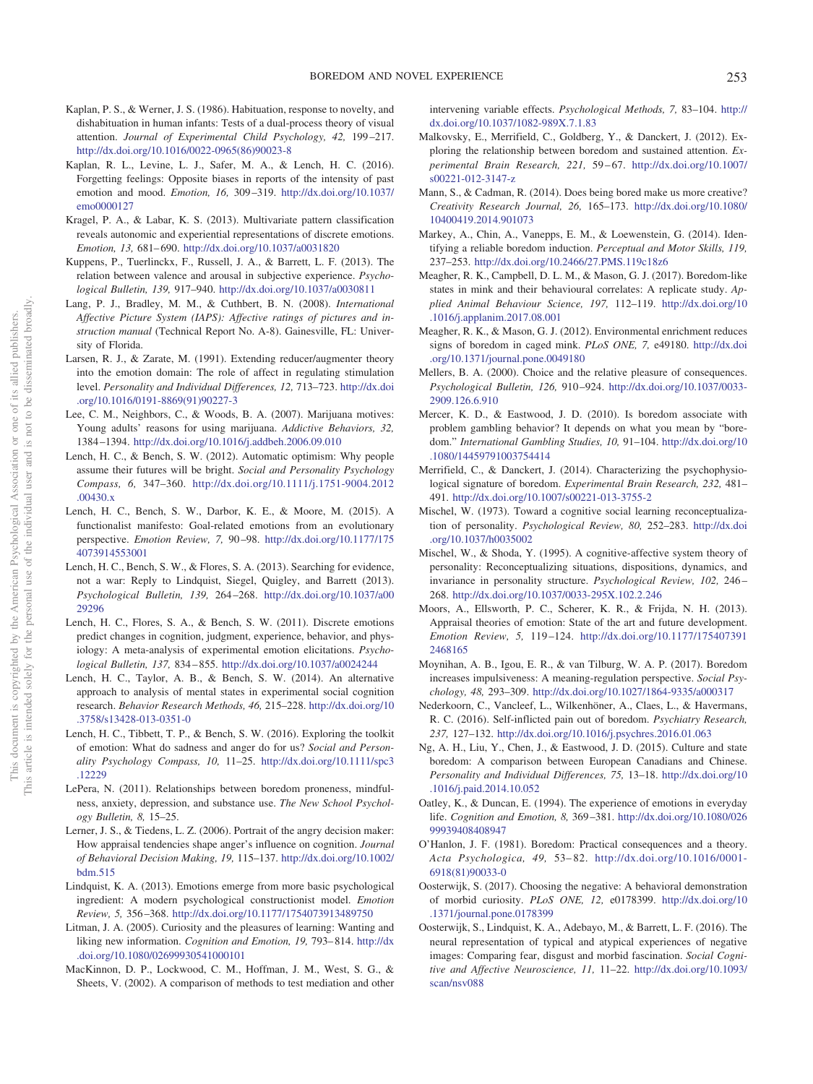- <span id="page-11-35"></span>Kaplan, P. S., & Werner, J. S. (1986). Habituation, response to novelty, and dishabituation in human infants: Tests of a dual-process theory of visual attention. *Journal of Experimental Child Psychology, 42,* 199 –217. [http://dx.doi.org/10.1016/0022-0965\(86\)90023-8](http://dx.doi.org/10.1016/0022-0965%2886%2990023-8)
- <span id="page-11-6"></span>Kaplan, R. L., Levine, L. J., Safer, M. A., & Lench, H. C. (2016). Forgetting feelings: Opposite biases in reports of the intensity of past emotion and mood. *Emotion, 16,* 309 –319. [http://dx.doi.org/10.1037/](http://dx.doi.org/10.1037/emo0000127) [emo0000127](http://dx.doi.org/10.1037/emo0000127)
- <span id="page-11-13"></span>Kragel, P. A., & Labar, K. S. (2013). Multivariate pattern classification reveals autonomic and experiential representations of discrete emotions. *Emotion, 13,* 681– 690. <http://dx.doi.org/10.1037/a0031820>
- <span id="page-11-26"></span>Kuppens, P., Tuerlinckx, F., Russell, J. A., & Barrett, L. F. (2013). The relation between valence and arousal in subjective experience. *Psychological Bulletin, 139,* 917–940. <http://dx.doi.org/10.1037/a0030811>
- <span id="page-11-23"></span>Lang, P. J., Bradley, M. M., & Cuthbert, B. N. (2008). *International Affective Picture System (IAPS): Affective ratings of pictures and instruction manual* (Technical Report No. A-8). Gainesville, FL: University of Florida.
- <span id="page-11-29"></span>Larsen, R. J., & Zarate, M. (1991). Extending reducer/augmenter theory into the emotion domain: The role of affect in regulating stimulation level. *Personality and Individual Differences, 12,* 713–723. [http://dx.doi](http://dx.doi.org/10.1016/0191-8869%2891%2990227-3) [.org/10.1016/0191-8869\(91\)90227-3](http://dx.doi.org/10.1016/0191-8869%2891%2990227-3)
- <span id="page-11-5"></span>Lee, C. M., Neighbors, C., & Woods, B. A. (2007). Marijuana motives: Young adults' reasons for using marijuana. *Addictive Behaviors, 32,* 1384 –1394. <http://dx.doi.org/10.1016/j.addbeh.2006.09.010>
- <span id="page-11-34"></span>Lench, H. C., & Bench, S. W. (2012). Automatic optimism: Why people assume their futures will be bright. *Social and Personality Psychology Compass, 6,* 347–360. [http://dx.doi.org/10.1111/j.1751-9004.2012](http://dx.doi.org/10.1111/j.1751-9004.2012.00430.x) [.00430.x](http://dx.doi.org/10.1111/j.1751-9004.2012.00430.x)
- <span id="page-11-33"></span>Lench, H. C., Bench, S. W., Darbor, K. E., & Moore, M. (2015). A functionalist manifesto: Goal-related emotions from an evolutionary perspective. *Emotion Review, 7,* 90 –98. [http://dx.doi.org/10.1177/175](http://dx.doi.org/10.1177/1754073914553001) [4073914553001](http://dx.doi.org/10.1177/1754073914553001)
- <span id="page-11-14"></span>Lench, H. C., Bench, S. W., & Flores, S. A. (2013). Searching for evidence, not a war: Reply to Lindquist, Siegel, Quigley, and Barrett (2013). *Psychological Bulletin, 139,* 264 –268. [http://dx.doi.org/10.1037/a00](http://dx.doi.org/10.1037/a0029296) [29296](http://dx.doi.org/10.1037/a0029296)
- <span id="page-11-8"></span>Lench, H. C., Flores, S. A., & Bench, S. W. (2011). Discrete emotions predict changes in cognition, judgment, experience, behavior, and physiology: A meta-analysis of experimental emotion elicitations. *Psychological Bulletin, 137,* 834 – 855. <http://dx.doi.org/10.1037/a0024244>
- <span id="page-11-24"></span>Lench, H. C., Taylor, A. B., & Bench, S. W. (2014). An alternative approach to analysis of mental states in experimental social cognition research. *Behavior Research Methods, 46,* 215–228. [http://dx.doi.org/10](http://dx.doi.org/10.3758/s13428-013-0351-0) [.3758/s13428-013-0351-0](http://dx.doi.org/10.3758/s13428-013-0351-0)
- <span id="page-11-7"></span>Lench, H. C., Tibbett, T. P., & Bench, S. W. (2016). Exploring the toolkit of emotion: What do sadness and anger do for us? *Social and Personality Psychology Compass, 10,* 11–25. [http://dx.doi.org/10.1111/spc3](http://dx.doi.org/10.1111/spc3.12229) [.12229](http://dx.doi.org/10.1111/spc3.12229)
- <span id="page-11-1"></span>LePera, N. (2011). Relationships between boredom proneness, mindfulness, anxiety, depression, and substance use. *The New School Psychology Bulletin, 8,* 15–25.
- <span id="page-11-10"></span>Lerner, J. S., & Tiedens, L. Z. (2006). Portrait of the angry decision maker: How appraisal tendencies shape anger's influence on cognition. *Journal of Behavioral Decision Making, 19,* 115–137. [http://dx.doi.org/10.1002/](http://dx.doi.org/10.1002/bdm.515) [bdm.515](http://dx.doi.org/10.1002/bdm.515)
- <span id="page-11-9"></span>Lindquist, K. A. (2013). Emotions emerge from more basic psychological ingredient: A modern psychological constructionist model. *Emotion Review, 5,* 356 –368. <http://dx.doi.org/10.1177/1754073913489750>
- <span id="page-11-30"></span>Litman, J. A. (2005). Curiosity and the pleasures of learning: Wanting and liking new information. *Cognition and Emotion, 19,* 793– 814. [http://dx](http://dx.doi.org/10.1080/02699930541000101) [.doi.org/10.1080/02699930541000101](http://dx.doi.org/10.1080/02699930541000101)
- <span id="page-11-25"></span>MacKinnon, D. P., Lockwood, C. M., Hoffman, J. M., West, S. G., & Sheets, V. (2002). A comparison of methods to test mediation and other

intervening variable effects. *Psychological Methods, 7,* 83–104. [http://](http://dx.doi.org/10.1037/1082-989X.7.1.83) [dx.doi.org/10.1037/1082-989X.7.1.83](http://dx.doi.org/10.1037/1082-989X.7.1.83)

- <span id="page-11-19"></span>Malkovsky, E., Merrifield, C., Goldberg, Y., & Danckert, J. (2012). Exploring the relationship between boredom and sustained attention. *Experimental Brain Research, 221,* 59 – 67. [http://dx.doi.org/10.1007/](http://dx.doi.org/10.1007/s00221-012-3147-z) [s00221-012-3147-z](http://dx.doi.org/10.1007/s00221-012-3147-z)
- <span id="page-11-17"></span>Mann, S., & Cadman, R. (2014). Does being bored make us more creative? *Creativity Research Journal, 26,* 165–173. [http://dx.doi.org/10.1080/](http://dx.doi.org/10.1080/10400419.2014.901073) [10400419.2014.901073](http://dx.doi.org/10.1080/10400419.2014.901073)
- <span id="page-11-18"></span>Markey, A., Chin, A., Vanepps, E. M., & Loewenstein, G. (2014). Identifying a reliable boredom induction. *Perceptual and Motor Skills, 119,* 237–253. <http://dx.doi.org/10.2466/27.PMS.119c18z6>
- <span id="page-11-15"></span>Meagher, R. K., Campbell, D. L. M., & Mason, G. J. (2017). Boredom-like states in mink and their behavioural correlates: A replicate study. *Applied Animal Behaviour Science, 197,* 112–119. [http://dx.doi.org/10](http://dx.doi.org/10.1016/j.applanim.2017.08.001) [.1016/j.applanim.2017.08.001](http://dx.doi.org/10.1016/j.applanim.2017.08.001)
- <span id="page-11-16"></span>Meagher, R. K., & Mason, G. J. (2012). Environmental enrichment reduces signs of boredom in caged mink. *PLoS ONE, 7,* e49180. [http://dx.doi](http://dx.doi.org/10.1371/journal.pone.0049180) [.org/10.1371/journal.pone.0049180](http://dx.doi.org/10.1371/journal.pone.0049180)
- <span id="page-11-20"></span>Mellers, B. A. (2000). Choice and the relative pleasure of consequences. *Psychological Bulletin, 126,* 910 –924. [http://dx.doi.org/10.1037/0033-](http://dx.doi.org/10.1037/0033-2909.126.6.910) [2909.126.6.910](http://dx.doi.org/10.1037/0033-2909.126.6.910)
- <span id="page-11-2"></span>Mercer, K. D., & Eastwood, J. D. (2010). Is boredom associate with problem gambling behavior? It depends on what you mean by "boredom." *International Gambling Studies, 10,* 91–104. [http://dx.doi.org/10](http://dx.doi.org/10.1080/14459791003754414) [.1080/14459791003754414](http://dx.doi.org/10.1080/14459791003754414)
- <span id="page-11-3"></span>Merrifield, C., & Danckert, J. (2014). Characterizing the psychophysiological signature of boredom. *Experimental Brain Research, 232,* 481– 491. <http://dx.doi.org/10.1007/s00221-013-3755-2>
- <span id="page-11-27"></span>Mischel, W. (1973). Toward a cognitive social learning reconceptualization of personality. *Psychological Review, 80,* 252–283. [http://dx.doi](http://dx.doi.org/10.1037/h0035002) [.org/10.1037/h0035002](http://dx.doi.org/10.1037/h0035002)
- <span id="page-11-28"></span>Mischel, W., & Shoda, Y. (1995). A cognitive-affective system theory of personality: Reconceptualizing situations, dispositions, dynamics, and invariance in personality structure. *Psychological Review, 102,* 246 – 268. <http://dx.doi.org/10.1037/0033-295X.102.2.246>
- <span id="page-11-11"></span>Moors, A., Ellsworth, P. C., Scherer, K. R., & Frijda, N. H. (2013). Appraisal theories of emotion: State of the art and future development. *Emotion Review, 5,* 119 –124. [http://dx.doi.org/10.1177/175407391](http://dx.doi.org/10.1177/1754073912468165) [2468165](http://dx.doi.org/10.1177/1754073912468165)
- <span id="page-11-32"></span>Moynihan, A. B., Igou, E. R., & van Tilburg, W. A. P. (2017). Boredom increases impulsiveness: A meaning-regulation perspective. *Social Psychology, 48,* 293–309. <http://dx.doi.org/10.1027/1864-9335/a000317>
- <span id="page-11-22"></span>Nederkoorn, C., Vancleef, L., Wilkenhöner, A., Claes, L., & Havermans, R. C. (2016). Self-inflicted pain out of boredom. *Psychiatry Research, 237,* 127–132. <http://dx.doi.org/10.1016/j.psychres.2016.01.063>
- <span id="page-11-4"></span>Ng, A. H., Liu, Y., Chen, J., & Eastwood, J. D. (2015). Culture and state boredom: A comparison between European Canadians and Chinese. *Personality and Individual Differences, 75,* 13–18. [http://dx.doi.org/10](http://dx.doi.org/10.1016/j.paid.2014.10.052) [.1016/j.paid.2014.10.052](http://dx.doi.org/10.1016/j.paid.2014.10.052)
- <span id="page-11-12"></span>Oatley, K., & Duncan, E. (1994). The experience of emotions in everyday life. *Cognition and Emotion, 8,* 369 –381. [http://dx.doi.org/10.1080/026](http://dx.doi.org/10.1080/02699939408408947) [99939408408947](http://dx.doi.org/10.1080/02699939408408947)
- <span id="page-11-0"></span>O'Hanlon, J. F. (1981). Boredom: Practical consequences and a theory. *Acta Psychologica, 49,* 53– 82. [http://dx.doi.org/10.1016/0001-](http://dx.doi.org/10.1016/0001-6918%2881%2990033-0) [6918\(81\)90033-0](http://dx.doi.org/10.1016/0001-6918%2881%2990033-0)
- <span id="page-11-31"></span>Oosterwijk, S. (2017). Choosing the negative: A behavioral demonstration of morbid curiosity. *PLoS ONE, 12,* e0178399. [http://dx.doi.org/10](http://dx.doi.org/10.1371/journal.pone.0178399) [.1371/journal.pone.0178399](http://dx.doi.org/10.1371/journal.pone.0178399)
- <span id="page-11-21"></span>Oosterwijk, S., Lindquist, K. A., Adebayo, M., & Barrett, L. F. (2016). The neural representation of typical and atypical experiences of negative images: Comparing fear, disgust and morbid fascination. *Social Cognitive and Affective Neuroscience, 11,* 11–22. [http://dx.doi.org/10.1093/](http://dx.doi.org/10.1093/scan/nsv088) [scan/nsv088](http://dx.doi.org/10.1093/scan/nsv088)